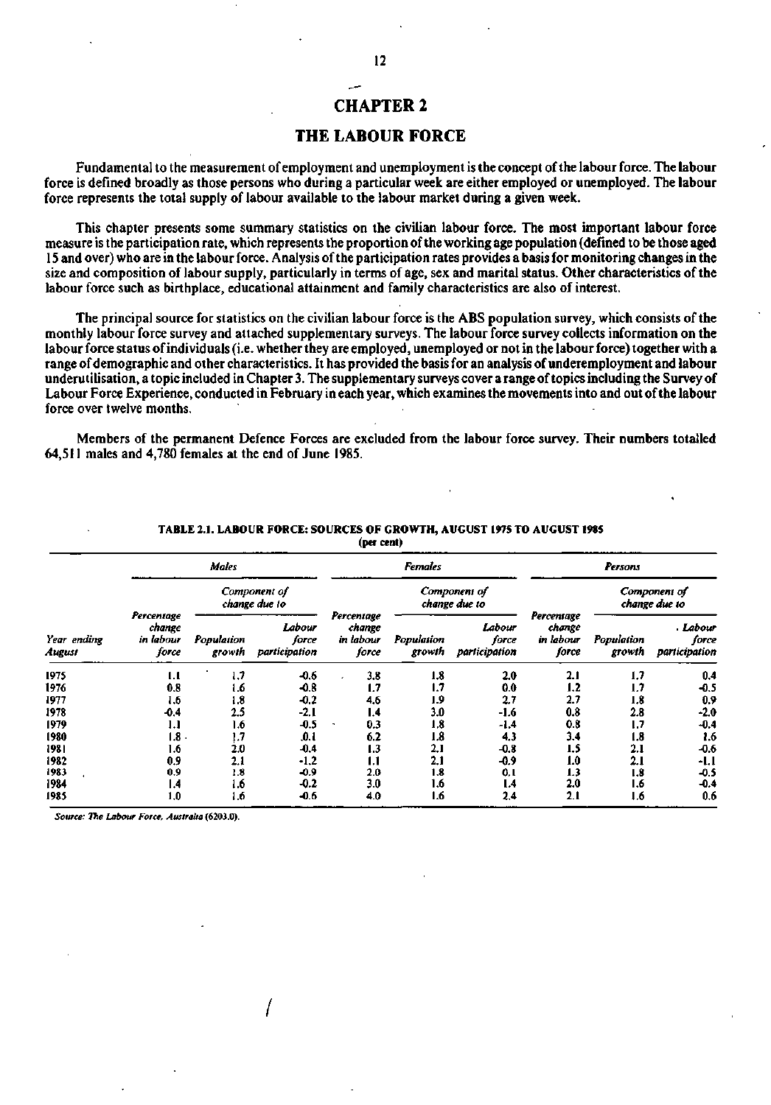## CHAPTER 2

### THE LABOUR FORCE

Fundamental to the measurement of employment and unemployment is the concept of the labour force. The labour force is defined broadly as those persons who during a particular week are either employed or unemployed. The labour force represents the total supply of labour available to the labour market during a given week.

This chapter presents some summary statistics on the civilian labour force. The most important labour force measure is the participation rate, which represents the proportion of the working age population (defined to be those aged 15 and over) who are in the labour force. Analysis of the participation rates provides a basis for monitoring changes in the size and composition of labour supply, particularly in terms of age, sex and marital status. Other characteristics of the labour force such as birthplace, educational attainment and family characteristics are also of interest.

The principal source for statistics on the civilian labour force is the ABS population survey, which consists of the monthly labour force survey and attached supplementary surveys. The labour force survey collects information on the labour force status of individuals (i.e. whether they are employed, unemployed or not in the labour force) together with a range of demographic and other characteristics. It has provided the basis for an analysis of underemployment and labour underutihsation, a topic included in Chapter 3. The supplementary surveys cover a range of topics including the Survey of Labour Force Experience, conducted in February in each year, which examines the movements into and out of the labour force over twelve months.

Members of the permanent Defence Forces are excluded from the labour force survey. Their numbers totalled 64,511 males and 4,780 females at the end of June 1985.

|                       |                                            |                               |                                  | (per cent)                                 |                      |                                  |                                            |                               |                                    |  |  |
|-----------------------|--------------------------------------------|-------------------------------|----------------------------------|--------------------------------------------|----------------------|----------------------------------|--------------------------------------------|-------------------------------|------------------------------------|--|--|
|                       |                                            | <b>Males</b>                  |                                  |                                            | <b>Females</b>       |                                  |                                            | Persons                       |                                    |  |  |
| Year ending<br>August |                                            | Component of<br>change due to |                                  |                                            |                      | Component of<br>change due to    |                                            | Component of<br>change due to |                                    |  |  |
|                       | Percentage<br>change<br>in labour<br>force | Population<br>growth          | Labour<br>force<br>participation | Percentage<br>change<br>in labour<br>force | Population<br>growth | Labour<br>force<br>participation | Percentage<br>change<br>in labour<br>force | Population<br>growth          | . Labour<br>force<br>participation |  |  |
| 1975                  | 1.1                                        | 1.7                           | $-0.6$                           | 3.8                                        | 1.8                  | 2.0                              | 2.1                                        | 1,7                           | 0.4                                |  |  |
| 1976                  | 0.8                                        | 1.6                           | $-0.8$                           | 1.7                                        | 1.7                  | 0.0                              | 1.2                                        | 1.7                           | $-0.5$                             |  |  |
| 1977                  | 1.6                                        | 1.8                           | $-0.2$                           | 4.6                                        | 1.9                  | 2.7                              | 2.7                                        | 1.8                           | 0.9                                |  |  |
| 1978                  | $-0.4$                                     | 2.5                           | $-2,1$                           | 1.4                                        | 3.0                  | -1.6                             | 0.8                                        | 2.8                           | $-2.0$                             |  |  |
| 1979                  | 1.1                                        | 1.6                           | $-0.5$                           | 0.3<br>٠                                   | 1,8                  | -1.4                             | 0.8                                        | ١.7                           | $-0.4$                             |  |  |
| 1980                  | 1.8                                        | 1.7                           | .0.1                             | 6.2                                        | 1.8                  | 4.3                              | 3.4                                        | 1.8                           | 1.6                                |  |  |
| 1981                  | 1.6                                        | 2.0                           | $-0.4$                           | 1.3                                        | 2,1                  | $-0.8$                           | 1.5                                        | 2.1                           | $-0.6$                             |  |  |
| 1982                  | 0.9                                        | 2.1                           | $-1,2$                           | 1.1                                        | 2.1                  | -0.9                             | 1.0                                        | 2.1                           | -1.1                               |  |  |
| 1983                  | 0.9                                        | 1.8                           | $-0.9$                           | 2.0                                        | 1.8                  | 0. I                             | 1.3                                        | 1.8                           | $-0.5$                             |  |  |
| 1984                  | ۱.4                                        | 1.6                           | $-0.2$                           | 3.0                                        | 1.6                  | 1.4                              | 2.0                                        | 1.6                           | -0.4                               |  |  |
| 1985                  | 1.0                                        | 1.6                           | $-0.6$                           | 4.0                                        | 1.6                  | 2,4                              | 2.1                                        | 1.6                           | 0.6                                |  |  |

## **TABLE 2.1. LABOUR FORCE: SOURCES OF GROWTH, AUGUST 1975 TO AUGUST 1985**

*Source: The Labour Force, Australia* **(6203.0).** 

**/**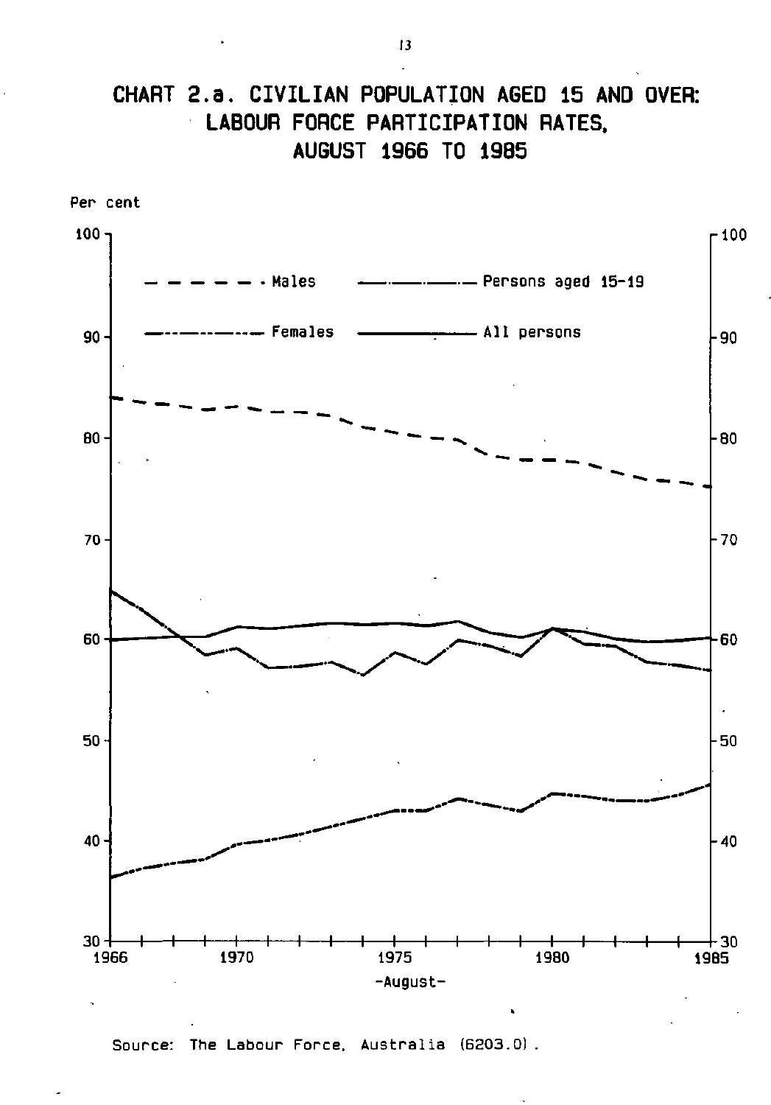# **CHART 2. a. CIVILIAN POPULATION AGED 15 AND OVER: LABOUR FORCE PARTICIPATION RATES, AUGUST 1966 TO 1985**



Source: The Labour Force. Australia (6203.0) .

13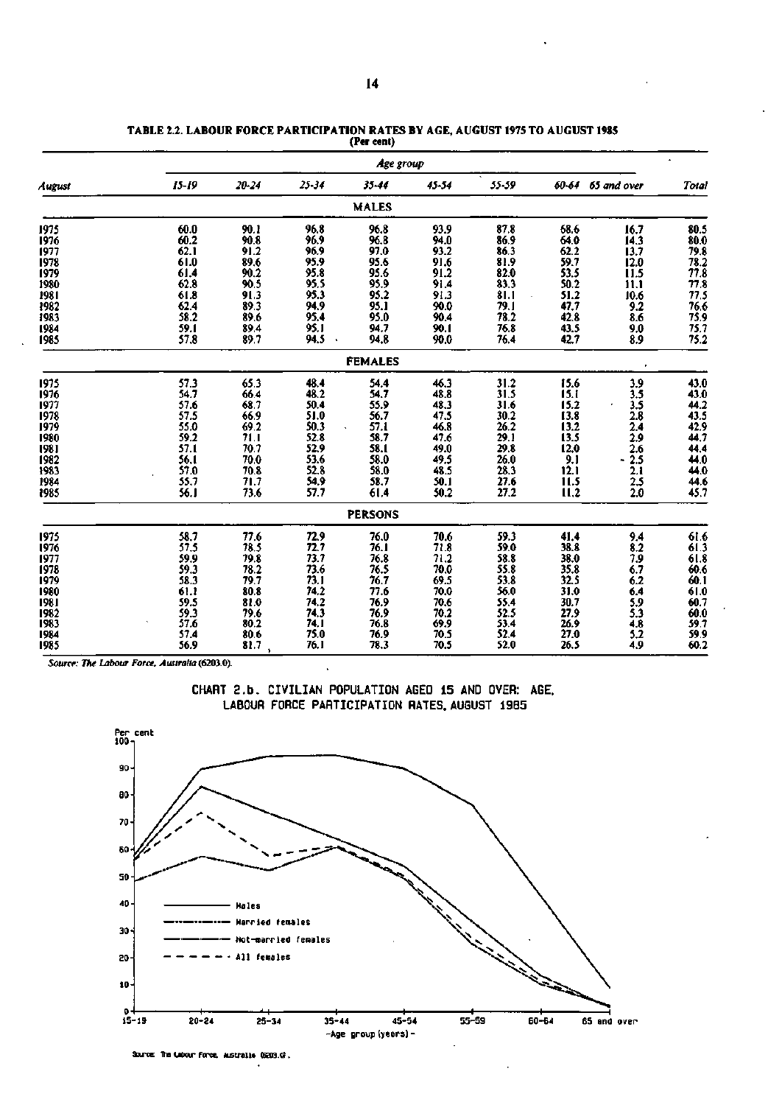|        |           |                  |                      | Age group           |           |                      |                     |                   |                      |
|--------|-----------|------------------|----------------------|---------------------|-----------|----------------------|---------------------|-------------------|----------------------|
| August | $15 - 19$ | $20 - 24$        | $25 - 34$            | $35 - 44$           | $45 - 54$ | 55-59                |                     | 60-64 65 and over | Total                |
|        |           |                  |                      | <b>MALES</b>        |           |                      |                     |                   |                      |
| 1975   | 60.0      | 90.1             | 96.8                 | 96.8                | 93.9      | 87.8                 | 68.6                | 16.7              | 80.5                 |
| 1976   | 60.2      | 90.8             | 96.9                 | 96.8                | 94.0      | 86.9                 | 64.0                | 14.3              | 80.0                 |
| 1977   | 62.1      | 91.2             | 96.9                 | 97.0                | 93.2      | 86.3                 | 62.2                | 13.7              |                      |
| 1978   | 61.0      | $89.6$<br>$90.2$ | 95.9                 | $\frac{95.6}{95.6}$ | 91.6      | $\frac{81.9}{82.0}$  | 59.7                | 12.0              | 79.8<br>78.2<br>77.8 |
| 1979   | 61.4      |                  | 95.8                 |                     | 91.2      |                      | 53.5                | 11.5              |                      |
| 1980   | 62.8      | 90.5             | 95.5                 | 95.9                | 91.4      | $\frac{83.3}{81.1}$  | 50.2                | iïï               | 77.8                 |
| 1981   | 61.8      | 91.3             | 95.3                 | 95.2                | 91.3      |                      | 51.2                | 10.6              | 77.5                 |
| 1982   | 62.4      | 89.3             | 94.9                 | 95.1                | 90.0      | 79.1                 | 47.7                | 9.2               | 76.6                 |
| 1983   | 58.2      | 89.6             | 95,4                 | 95.0                | 90.4      | 78.2                 | 42.8                | 8.6               | 75.9<br>75.7         |
| 1984   | 59.1      | 89.4             | 95.1                 | 94.7                | 90.1      | 76.8                 | 43.5                | 9.0               |                      |
| 1985   | 57.8      | 89.7             | 94.5<br>$\mathbf{A}$ | 94.8                | 90.0      | 76.4                 | 42.7                | 8.9               | 75.2                 |
|        |           |                  |                      | <b>FEMALES</b>      |           |                      |                     |                   |                      |
| 1975   | 57.3      | 65.3             | 48.4                 | 54.4                | 46.3      | $\frac{31.2}{31.5}$  | 15.6                | 3.9               | 43.0                 |
| 1976   | 54.7      | 66.4             | 48.2                 | 54.7                | 48.8      |                      | 15.1                | $\overline{3.5}$  | 43.0                 |
| 1977   | 57.6      | 68.7             | 50.4                 | 55.9                | 48.3      | 31.6                 | 15.2                | $\frac{3.5}{2.8}$ | $44.2$<br>43.5       |
| 1978   | 57.5      | 66.9             | 51.0                 | 56.7                | 47.5      | 30.2                 | 13.8                |                   |                      |
| 1979   | 55.0      | 69.2             | 50.3                 | 57.1                | 46.8      | 26.2                 | 13.2                | 2.4               | 42.9                 |
| 1980   | 59.2      |                  | 52.8                 | 58.7                | 47.6      |                      | 13.5                | 2.9               | 44.7                 |
| 1981   | 57.1      | $71.1$<br>70.7   | 52.9                 | 58.1                | 49.0      | $\frac{29.1}{29.8}$  | 12.0                |                   | 44.4                 |
| 1982   | 56.1      | 70.0             | 53.6                 | 58.0                | 49.5      | $\frac{26.0}{28.3}$  | 9.1                 | $\frac{2.6}{2.5}$ | 44.0                 |
| 1983   | 57.0      | 70.8             | 52.8                 | 58.0                | 48.5      |                      | 12.1                | 2.1               | 44.0                 |
| 1984   | 55.7      | 71.7             | 54.9                 | 58.7                | 50.1      | 27.6                 | 11.5                | 2.5               | 44.6                 |
| 1985   | 56.1      | 73.6             | 57.7                 | 61.4                | 50.2      | 27.2                 | 11,2                | 2.0               | 45.7                 |
|        |           |                  |                      | <b>PERSONS</b>      |           |                      |                     |                   |                      |
| 1975   | 58.7      | 77.6             | 72.9                 | 76.0                | 70.6      | 59.3                 | 41.4                | 9.4               | 61.6                 |
| 1976   | 57.5      | 78.5             | 72.7                 | 76.1                | 71.8      | 59.0                 | 38.8                | 8.2               | $\frac{61.3}{61.8}$  |
| 1977   | 59.9      | 79.8             | 73.7                 |                     | 71.2      | 58.8                 | 38.0                | 7.9               |                      |
| 1978   | 59.3      |                  | 73.6                 | $76.8$<br>76.5      | 70.0      |                      |                     |                   | 60.6                 |
| 1979   | 58.3      | $78.2$<br>79.7   | 73.1                 | 76.7                | 69.5      |                      | $\frac{35.8}{32.5}$ | $6.7$<br>$6.2$    | 60.1                 |
| 1980   | 61.1      | 80.8             | 74.2                 | 77.6                | 70.0      | 55.8<br>53.8<br>56.0 | 31.0                | 6.4               | 61.0                 |
| 1981   | 59.5      | 81.0             | 74.2                 | 76.9                | 70.6      |                      | 30.7                |                   | 60.7                 |
| 1982   | 59.3      | $79.6$<br>$80.2$ | 74.3                 | 76.9                | 70.2      | $55.4$<br>$52.5$     | 27.9                | $\frac{5.9}{5.3}$ | 60.0                 |
| 1983   | 57.6      |                  | 74. I                | 76.8                | 69.9      | 53.4                 | 26.9                |                   | 59.7                 |
| 1984   | 57.4      | 80.6             | 75.0                 | 76.9                | 70.5      | 52.4                 | 27.0                | $\frac{4.8}{5.2}$ | 59.9                 |
| 1985   | 56.9      | 81.7             | 76.1                 | 78.3                | 70.5      | 52.0                 | 26.5                | 4.9               | 60.2                 |

|  |            | TABLE 2.2. LABOUR FORCE PARTICIPATION RATES BY AGE. AUGUST 1975 TO AUGUST 1985 |
|--|------------|--------------------------------------------------------------------------------|
|  | (Per cent) |                                                                                |
|  |            |                                                                                |

*Source: The Labour Force, Australia* **(6203.0).** 

**CHART 2.b. CIVILIAN POPULATION AGED 15 AND OVER: AGE. LABOUR FORCE PARTICIPATION RATES. AUGUST 19B5** 



Source: The Labour Force, Australia (5203.0).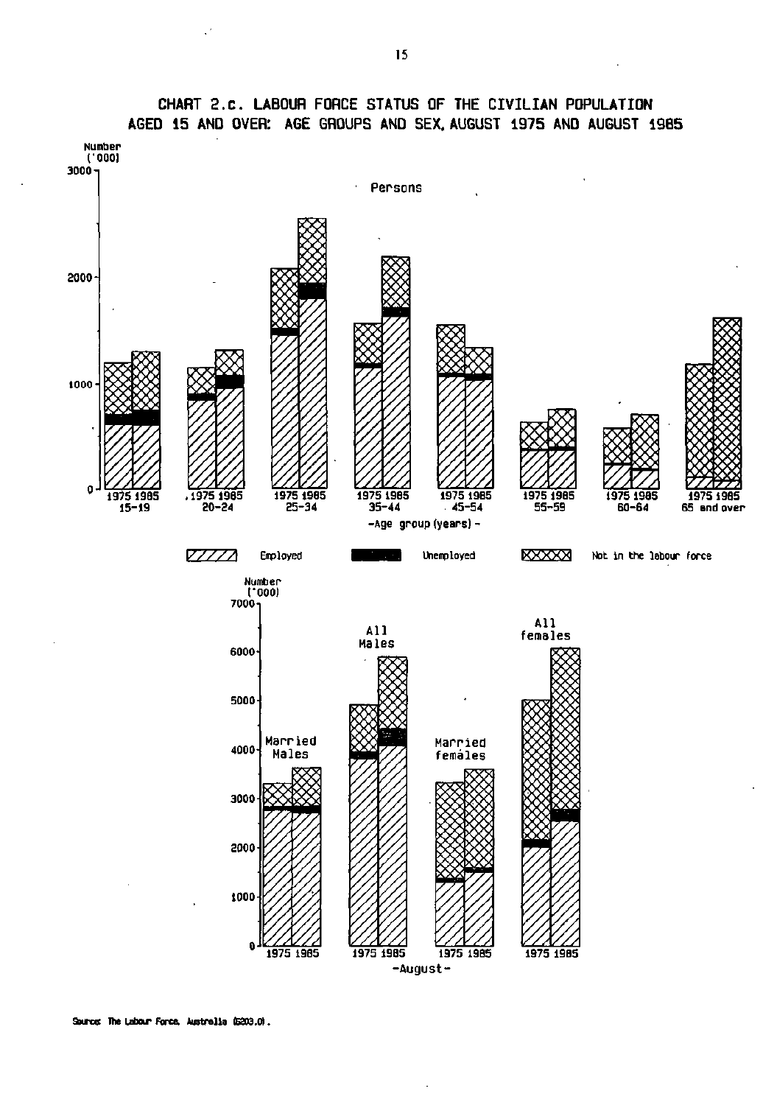

## **CHART 2.C. LABOUR FORCE STATUS OF THE CIVILIAN POPULATION AGED 15 AND OVER: AGE GROUPS AND SEX, AUGUST 1975 AND AUGUST 1985**

**Source The Labour Force. Australia (6203.0).**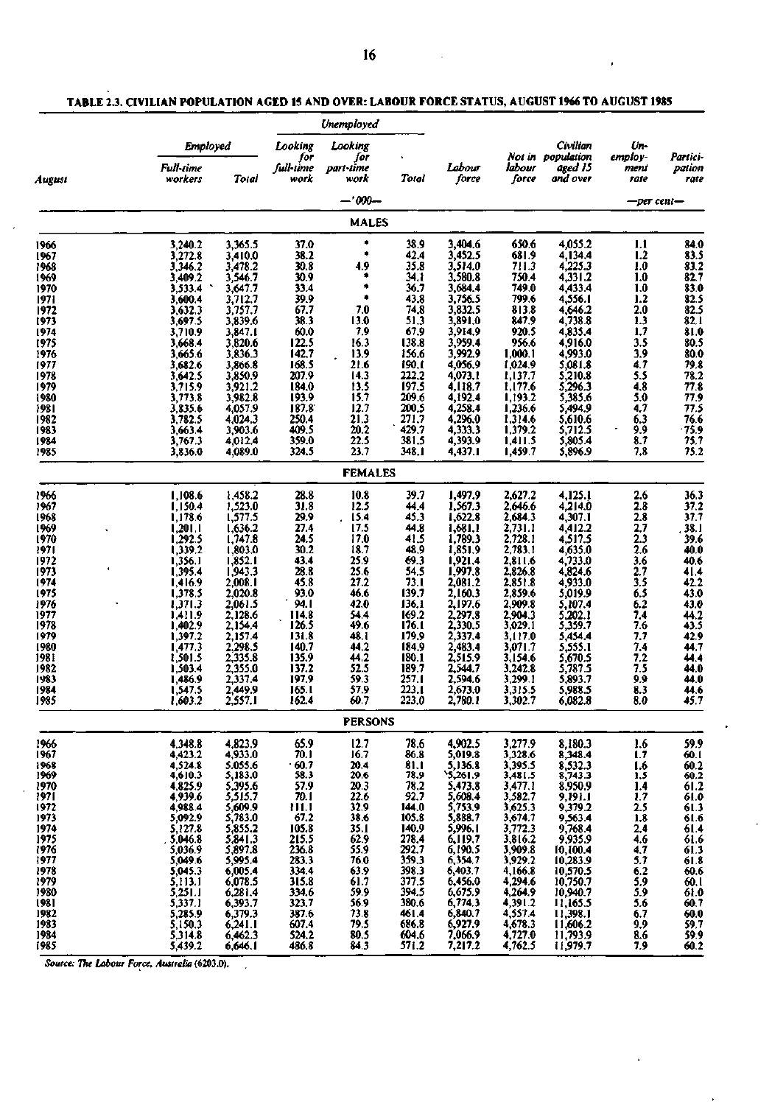$\epsilon$ 

 $\mathbf{r}$ 

 $\ddot{\phantom{a}}$ 

ł

|              |                             |                               |                          | Unemployed               |                |                                                                            |                               |                                          |                         |                                                |
|--------------|-----------------------------|-------------------------------|--------------------------|--------------------------|----------------|----------------------------------------------------------------------------|-------------------------------|------------------------------------------|-------------------------|------------------------------------------------|
|              | <b>Employed</b>             |                               | Looking                  | Looking                  |                |                                                                            |                               | Civilian                                 | Un-                     |                                                |
| August       | <b>Full-time</b><br>workers | Total                         | for<br>full-time<br>work | for<br>part-time<br>work | Total          | Labour<br>force                                                            | labour<br>force               | Not in population<br>aged 15<br>and over | employ-<br>ment<br>rate | Partici-<br>pation<br>rate                     |
|              |                             |                               |                          | $-.000-$                 |                |                                                                            |                               |                                          | —per cent—              |                                                |
|              |                             |                               |                          | <b>MALES</b>             |                |                                                                            |                               |                                          |                         |                                                |
| 1966         | 3,240.2                     | 3,365.5                       | 37.0                     | ۰                        | 38.9           | 3,404.6                                                                    | 650.6                         | 4,055.2                                  | 1.1                     | 84.0                                           |
| 1967         | 3,272.8                     | 3,410.0                       | 38.2<br>30.8             | 4.9                      | 42.4<br>35.8   | 3,452.5<br>3,514.0                                                         | 681.9<br>711.3                | 4,134.4<br>4,225.3                       | 1.2<br>1.0              |                                                |
| 1968<br>1969 | 3,346.2<br>3,409.2          | 3,478.2<br>3,546.7            | 30.9                     |                          | 34.1           | 3,580.8                                                                    | 750.4                         | 4,331.2                                  | 1.0                     | $83.5$<br>$83.2$<br>$82.7$                     |
| 1970         | 3,533.4                     | 3,647.7                       | 33.4                     | $\bullet$                | 36.7           | 3,684.4                                                                    | 749.0                         | 4,433.4                                  | 1.0                     | 83.0                                           |
| 1971         | 3,600.4                     | 3,712.7                       | 39.9                     | ٠                        | 43.8           | 3,756.5                                                                    | 799.6                         | 4,556.1                                  | $1.2$                   |                                                |
| 1972         | 3,632.3                     | 3,757.7                       | 67.7                     | 7.0                      | 74,8           | 3,832.5                                                                    | 813.8                         | 4,646.2                                  | 2.0                     | $\frac{82.5}{82.5}$                            |
| 1973         | 3,697.5                     | 3,839.6                       | 38.3                     | 13.0                     | 51.3           | 3,891.0                                                                    | 847.9                         | 4,738.8                                  | 1.3                     | 82.1                                           |
| 1974         | 3,710.9                     | 3,847.1                       | 60.0                     | 7,9                      | 67.9           | 3,914.9                                                                    | 920.5                         | 4,835.4                                  | 1,7                     | $\frac{81.0}{80.5}$                            |
| 1975         | 3,668.4                     | 3,820.6                       | 122.5                    | 16.3                     | 138.8          | 3,959.4                                                                    | 956.6                         | 4,916.0                                  | 3.5                     |                                                |
| 1976         | 3,665.6                     | 3,836.3                       | 142.7                    | 13.9                     | 156.6          | 3,992.9                                                                    | 1,000.1                       | 4,993.0                                  | 3.9                     | 80.0                                           |
| 1977         | 3,682.6                     | 3,866.8                       | 168.5<br>207.9           | 21.6<br>14.3             | 190.1<br>222.2 | 4,056.9<br>4,073.1                                                         | 1,024.9<br>1,137.7            | 5,081.8                                  | 4.7<br>5.5              | 79.8<br>78.2                                   |
| 1978<br>1979 | 3,642.5<br>3,715.9          | 3,850.9<br>3,921.2            | 184.0                    | 13.5                     | 197.5          | 4,118.7                                                                    | 1,177.6                       | 5,210.8<br>5,296.3                       | 4,8                     | 77.8                                           |
| 1980         | 3,773.8                     | 3,982.8                       | 193.9                    | 15.7                     | 209.6          | 4,192.4                                                                    | 1,193.2                       | 5,385.6                                  | 5.0                     | 77.9                                           |
| 1981         | 3,835.6                     | 4,057.9                       | 187.8                    | 12.7                     | 200.5          | 4,258.4                                                                    | 1,236.6                       | 5,494.9                                  | 4.7                     | 77.5                                           |
| 1982         | 3,782.5                     | 4,024.3                       | 250.4                    | 21.3                     | 271.7          | 4,296.0                                                                    | 1,314.6                       | 5,610.6                                  | 6.3                     | 76.6                                           |
| 1983         | 3,663.4                     | 3,903.6                       | 409.5                    | 20.2                     | 429.7          | 4,333.3                                                                    | 1,379.2                       | 5,712.5                                  | 9,9                     | $-75.9$<br>75.7                                |
| 1984         | 3,767.3                     | 4,012.4                       | 359.0                    | 22.5                     | 381.5          | 4,393.9                                                                    | 1,411.5                       | 5,805.4                                  | 8.7                     |                                                |
| 1985         | 3,836.0                     | 4,089.0                       | 324.5                    | 23.7                     | 348.I          | 4,437.1                                                                    | 1,459.7                       | 5,896.9                                  | 7.8                     | 75.2                                           |
|              |                             |                               |                          | <b>FEMALES</b>           |                |                                                                            |                               |                                          |                         |                                                |
| 1966         | 1,108.6                     | 1,458.2                       | 28.8                     | 10.8                     | 39.7           | 1,497.9                                                                    | 2,627.2                       | 4,125.1                                  | 2.6                     | 36.3                                           |
| 1967         | 1,150.4                     | 1,523.0                       | 31.8                     | 12.5                     | 44.4           | 1,567.3                                                                    | 2,646.6                       | 4,214.0                                  | 2.8                     | 37.2<br>37.7                                   |
| 1968         | 1,178.6                     | 1,577.5                       | 29.9                     | 15.4                     | 45.3           | 1,622.8                                                                    | 2,684.3                       | 4,307.1                                  | $\overline{2.8}$        |                                                |
| 1969         | 1,201.1                     | 1,636.2                       | 27.4                     | 17.5                     | 44.8           | 1,681.1                                                                    | 2,731.1                       | 4,412.2                                  | 2,7                     | 38.1                                           |
| 1970         | 1,292.5<br>1,339.2          | 1,747.8<br>1,803.0            | 24.5<br>30.2             | 17.0<br>18.7             | 41.5<br>48,9   | 1,789.3<br>1,851.9                                                         | 2,728.1<br>2,783.1            | 4,517.5<br>4,635.0                       | 2.3<br>2.6              | 39.6<br>40.0                                   |
| 1971<br>1972 | 1,356.1                     | 1,852.1                       | 43.4                     | 25.9                     | 69.3           | 1,921.4                                                                    | 2,811.6                       | 4,733.0                                  |                         | 40.6                                           |
| 1973         | 1,395.4                     | 1,943.3                       | 28.8                     | 25.6                     | 54,5           | 1,997.8                                                                    | 2,826.8                       | 4,824.6                                  | $\frac{3.6}{2.7}$       |                                                |
| 1974         | 1,416.9                     | 2,008.1                       | 45.8                     | 27.2                     | 73.1           | 2,081.2                                                                    | 2,851.8                       | 4,933.0                                  |                         | $41.4$<br>$42.2$<br>$43.0$                     |
| 1975         | 1,378.5                     | 2,020.8                       | 93.0                     | 46.6                     | 139.7          | 2,160.3                                                                    | 2,859.6                       | 5,019.9                                  | $\frac{3.5}{6.5}$       |                                                |
| 1976         | 1,371.3                     | 2,061.5                       | 94.1                     | 42.0                     | 136.1          | 2,197.6                                                                    | 2,909.8                       | 5,107.4                                  | 6.2                     | $43.0$<br>$44.2$<br>$43.5$                     |
| 1977         | 1,411.9                     | 2,128.6                       | 114.8                    | 54.4                     | 169.2          | 2,297.8<br>2,330.5                                                         | 2,904.3                       | 5,202.1                                  | 7,4                     |                                                |
| 1978         | 1,402.9                     | 2,154.4                       | 126.5                    | 49.6                     | 176.1          |                                                                            | 3,029.1                       | 5,359.7                                  | 7.6                     |                                                |
| 1979<br>1980 | 1,397.2                     | 2,157.4                       | 131.8<br>140.7           | 48.I<br>44.2             | 179,9<br>184.9 | 2,337.4<br>2,483.4                                                         | 3,117.0<br>3,071.7            | 5,454.4                                  | 7.7<br>7.4              | 42.9<br>44.7                                   |
| 1981         | 1,477.3<br>1,501.5          | 2,298.5<br>2,335.8            | 135.9                    | 44.2                     | 180.1          | 2,515.9                                                                    | 3,154.6                       | 5,555.1<br>5,670.5                       | 7,2                     | 44.4                                           |
| 1982         | 1,503.4                     | 2,355.0                       | 137.2                    | 52.5                     | 189.7          | 2,544.7                                                                    | 3,242.8                       | 5,787.5                                  | 7.5                     | 44.0                                           |
| 1983         | 1,486.9                     | 2,337.4                       | 197.9                    | 59.3                     | 257.1          | 2,594.6                                                                    | 3,299.1                       | 5,893.7                                  | 9.9                     | 44.0                                           |
| 1984         | 1,547.5                     | 2,449.9                       | 165.1                    | 57.9                     | 223.1          | 2,673.0                                                                    | 3,315.5                       | 5,988.5                                  | 8.3                     | 44.6                                           |
| 1985         | 1.603.2                     | 2,557.1                       | 162.4                    | 60.7                     | 223.0          | 2,780.1                                                                    | 3,302.7                       | 6,082.8                                  | 8.0                     | 45.7                                           |
|              |                             |                               |                          | PERSONS                  |                |                                                                            |                               |                                          |                         |                                                |
| 1966         | 4,348.8                     | 4,823.9                       | 65.9                     | 12.7                     | 78.6           | 4,902.5                                                                    | 3,277.9                       | 8,180.3                                  | 1.6                     | 59.9                                           |
| 1967         | 4,423.2                     | 4,933.0                       | 70. I                    | 16.7                     | 86.8           | 5,019.8                                                                    | 3,328.6                       | 8,348.4                                  | 1.7                     | 60.1                                           |
| 1968<br>1969 | 4,524.8<br>4,610.3          | 5.055.6<br>5,183.0            | $-60.7$<br>58.3          | 20.4<br>20.6             | 81.1<br>78.9   | 5,136.8                                                                    | 3,395.5<br>3,481.5            | 8,532.3<br>8,743.3                       | 1.6<br>1.5              |                                                |
| 1970         |                             | 5,395.6                       | 57.9                     | 20.3                     | 78,2           |                                                                            | 3,477.1                       | 8,950.9                                  | 1.4                     |                                                |
| 1971         | 4,825.9<br>4,939.6          | 5,515.7                       | 70.1                     | 22.6                     | 92.7           |                                                                            | 3,582.7                       | 9,191.1                                  | 1.7                     |                                                |
| 1972         | 4,988.4                     |                               |                          | 32.9                     | 144.0          |                                                                            |                               | 9,379.2                                  |                         | $60.2$<br>$61.2$<br>$61.0$<br>$61.3$<br>$61.6$ |
| 1973         | 5,092.9                     | 5,609.9<br>5,783.0<br>5,855.2 | $\frac{111.1}{67.2}$     | 38.6                     | 105.8          |                                                                            | 3,625.3<br>3,674.7            | 9,563.4                                  | $\frac{2.5}{1.8}$       |                                                |
| 1974         | 5,127.8                     |                               | 105.8                    | 35.1                     | 140.9          |                                                                            | 3,772.3                       | 9,768.4                                  | 2,4                     |                                                |
| 1975         | 5,046.8                     | 5,841.3                       | 215.5<br>236.8           | 62.9                     | 278.4          | $5,473.8$<br>$5,608.4$<br>$5,753.9$<br>$5,888.7$<br>$5,996.1$<br>$6,119.7$ | 3,816.2                       | 9,935.9                                  | 4.6                     | $61.4$<br>$61.6$<br>$61.3$<br>$61.8$           |
| 1976         | 5,036.9                     | 5,897.8                       |                          | 55.9                     | 292.7<br>359.3 | $6,190.5$<br>$6,354.7$                                                     | 3,909.8<br>3,929.2            | 10,100.4                                 | 4,7                     |                                                |
| 1977<br>1978 | 5,049.6<br>5,045.3          | 5,995.4<br>6,005.4            | 283.3<br>334.4           | 76.0<br>63.9             | 398.3          | 6,403.7                                                                    | 4,166.8                       | 10,283.9<br>10,570.5                     | 5.7<br>6.2              | 60.6                                           |
| 1979         | 5,113.1                     | 6,078.5                       | 315.8                    | 61.7                     | 377.5          | 6,456.0                                                                    | 4,294.6                       | 10,750.7                                 | 5.9                     | 60.I                                           |
| 1980         | 5,251.1                     | 6,281.4                       | 334.6                    | 59.9                     | 394.5          | 6,675.9                                                                    | 4,264.9                       | 10,940.7                                 | 5.9                     | 61.0                                           |
| 1981         | 5,337.1                     | 6,393.7                       | 323.7                    | 56.9                     | 380.6          | 6,774.3                                                                    | 4,391.2                       | 11,165.5                                 | 5.6                     | 60.7                                           |
| 1982         | 5,285.9                     | 6,379.3                       | 387.6                    | 73.8                     | 461.4          | 6,840.7<br>6,927.9                                                         | 4,557.4                       | 11,398.1<br>11,606.2                     | 6.7                     | 60.0<br>59.7                                   |
| 1983         | 5,150.3                     | 6,241.1                       | 607.4                    | 79.5                     | 686.8          |                                                                            | 4,678.3<br>4,727.0<br>4,762.5 |                                          | 9,9                     |                                                |
| 1984         | 5,314.8                     | 6,462.3                       | 524.2                    | 80.5                     | 604.6          | 7,066.9                                                                    |                               | 11,793.9                                 | 8.6                     | $\frac{59.9}{60.2}$                            |
| 1985         | 5,439.2                     | 6,646.1                       | 486.8                    | 84.3                     | 571.2          | 7,217.2                                                                    |                               | 11,979.7                                 | 7.9                     |                                                |

*Source: The Labour Force. Australia* **(6203.0).** 

 $\overline{\phantom{a}}$ 

J.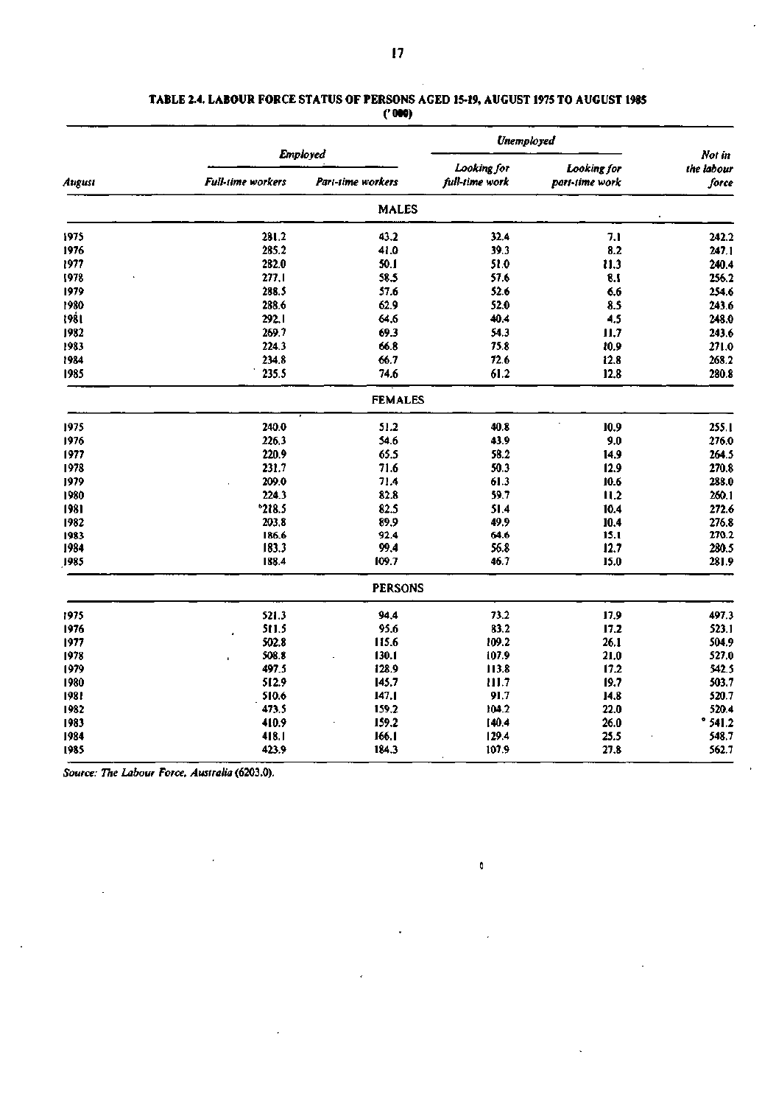### **TABLE 2.4. LABOUR FORCE STATUS OF PERSONS AGED 15-19, AUGUST 1975 TO AUGUST 1985 ('000)**

|        |                          |                   | Unemployed     |                |                      |
|--------|--------------------------|-------------------|----------------|----------------|----------------------|
|        |                          | <b>Employed</b>   | Looking for    | Looking for    | Not in<br>the labour |
| August | <b>Full-time</b> workers | Part-time workers | full-time work | part-time work | force                |
|        |                          | <b>MALES</b>      |                |                |                      |
| 1975   | 281.2                    | 43.2              | 32.4           | 7.1            | 242.2                |
| 1976   | 285.2                    | 41.0              | 39.3           | 8.2            | 247.1                |
| 1977   | 282.0                    | 50.1              | 51.0           | 11.3           | 240.4                |
| 1978   | 277.1                    | 58.5              | 57.6           | 8.1            | 256.2                |
| 1979   | 288.5                    | 57.6              | 52.6           | 6.6            | 254.6                |
| 1980   | 288,6                    | 62.9              | 52.0           | 8.5            | 243.6                |
| 1981   | 292.1                    | 64.6              | 40.4           | 4.5            | 248.0                |
| 1982   | 269.7                    | 69.3              | 54.3           | 11,7           | 243.6                |
| 1983   | 224.3                    | 66.8              | 75.8           | 10.9           | 271.0                |
| 1984   | 234,8                    | 66.7              | 72.6           | 12.8           | 268.2                |
| 1985   | 235.5                    | 74.6              | 61.2           | 12.8           | 280.8                |
|        |                          | <b>FEMALES</b>    |                |                |                      |
| 1975   | 240.0                    | 51.2              | 40.8           | 10.9           | 255.1                |
| 1976   | 226.3                    | 54.6              | 43.9           | 9.0            | 276.0                |
| 1977   | 220.9                    | 65.5              | 58.2           | 14.9           | 264.5                |
| 1978   | 231.7                    | 71.6              | 50.3           | 12.9           | 270.8                |
| 1979   | 209.0                    | 71.4              | 61.3           | 10.6           | 288.0                |
| 1980   | 224.3                    | 82.8              | 59.7           | 11.2           | 260.1                |
| 1981   | $*218.5$                 | 82.5              | 51.4           | 10.4           | 272.6                |
| 1982   | 203.8                    | 89.9              | 49.9           | 10.4           | 276.8                |
| 1983   | 186.6                    | 92.4              | 64.6           | 15.1           | 270.2                |
| 1984   | 183.3                    | 99,4              | 56.8           | 12.7           | 280.5                |
| 1985   | 188.4                    | 109.7             | 46.7           | 15.0           | 281.9                |
|        |                          | <b>PERSONS</b>    |                |                |                      |
| 1975   | 521.3                    | 94.4              | 73.2           | 17.9           | 497.3                |
| 1976   | 511.5                    | 95.6              | 83.2           | 17.2           | 523.1                |
| 1977   | 502.8                    | 115.6             | 109.2          | 26.1           | 504.9                |
| 1978   | 508.8<br>i.              | 130.1             | 107.9          | 21.0           | 527.0                |
| 1979   | 497.5                    | i28.9             | 113.8          | 17.2           | 542.5                |
| 1980   | 512.9                    | 145.7             | 111.7          | 19.7           | 503.7                |
| 1981   | 510.6                    | 147.1             | 91.7           | 14.8           | 520.7                |
| 1982   | 473.5                    | 159.2             | 104.2          | 22.0           | 520.4                |
| 1983   | 410.9                    | 159.2             | 140.4          | 26.0           | "541.2"              |
| 1984   | 418.1                    | 166.1             | 129.4          | 25.5           | 548.7                |
| 1985   | 423.9                    | 184.3             | 107.9          | 27.8           | 562.7                |

a

*Source: The Labour Force, Australia* (6203.0).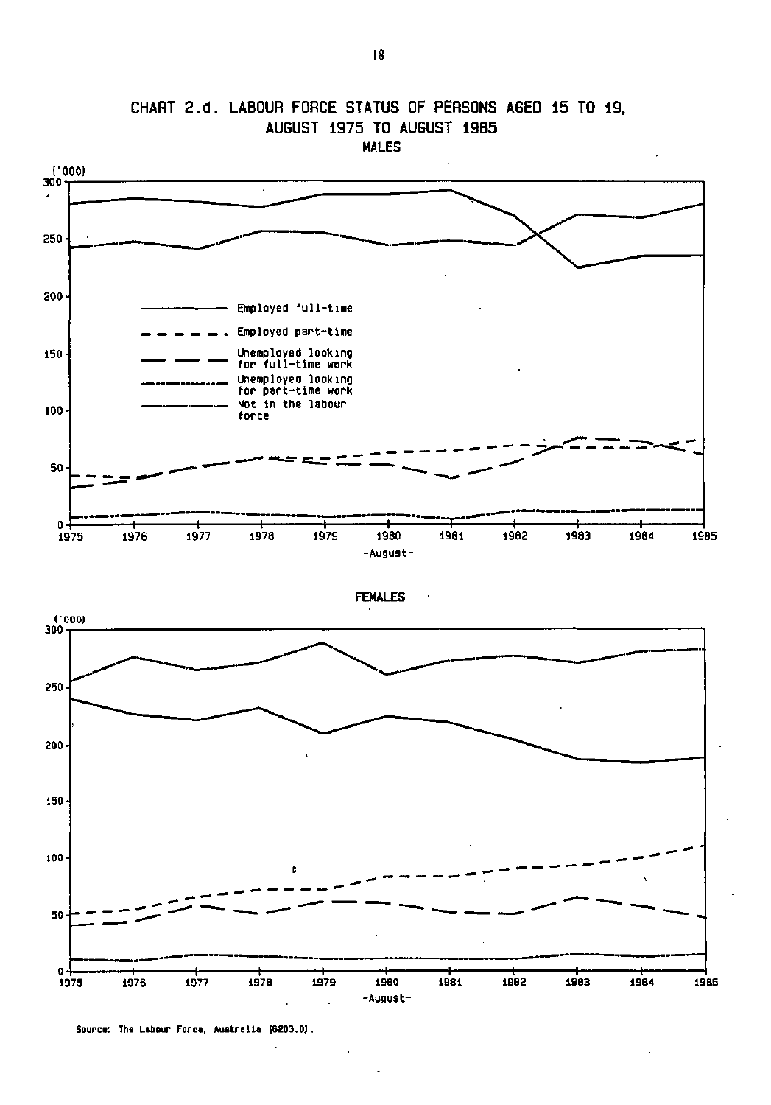

**CHART 2.d. LABOUR FORCE STATUS OF PERSONS AGED 15 TO 19. AUGUST 1975 TO AUGUST 19B5 MALES** 

Source: The Labour Force. Australia (6203.0).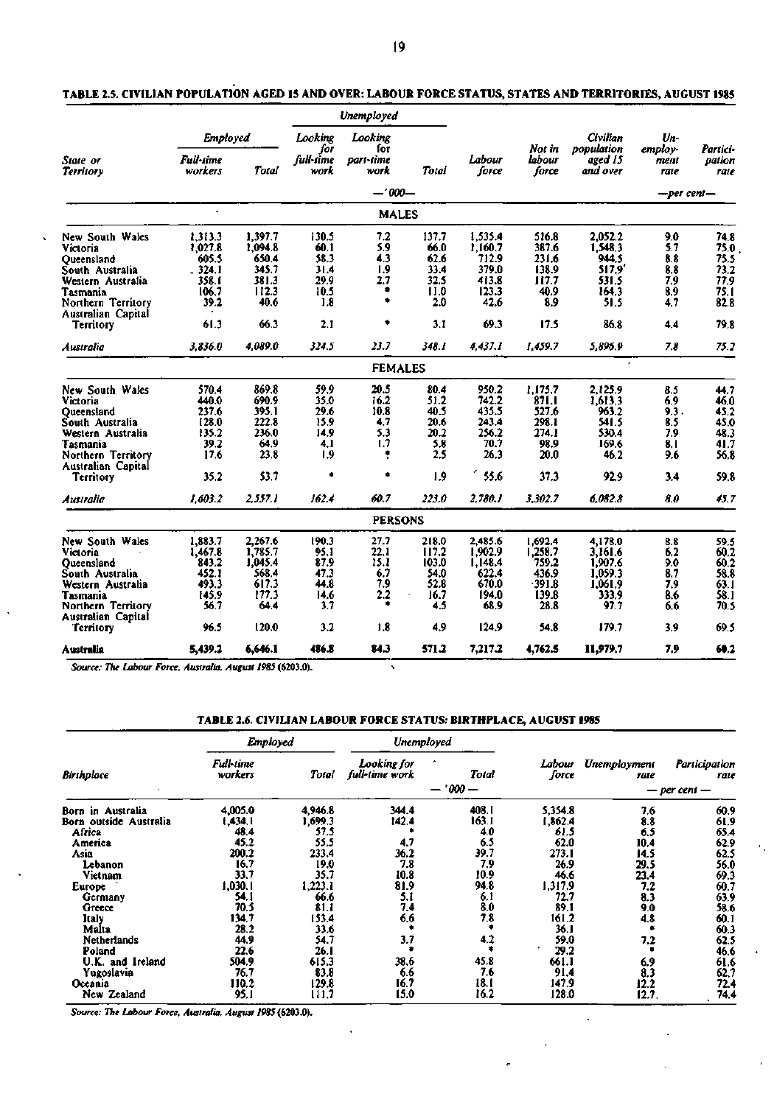|                      |                                                                                                                                                                                         |                                                                                                                                                                                                              | Unemployed                                                                                                                                          |                                                                                                                                    |                                                                                                                                                                                                                         |                                                                                                                                                                                                       |                                                                                                                                                                                        |                                                                                                                                                                                        |                                                                                                        |  |
|----------------------|-----------------------------------------------------------------------------------------------------------------------------------------------------------------------------------------|--------------------------------------------------------------------------------------------------------------------------------------------------------------------------------------------------------------|-----------------------------------------------------------------------------------------------------------------------------------------------------|------------------------------------------------------------------------------------------------------------------------------------|-------------------------------------------------------------------------------------------------------------------------------------------------------------------------------------------------------------------------|-------------------------------------------------------------------------------------------------------------------------------------------------------------------------------------------------------|----------------------------------------------------------------------------------------------------------------------------------------------------------------------------------------|----------------------------------------------------------------------------------------------------------------------------------------------------------------------------------------|--------------------------------------------------------------------------------------------------------|--|
|                      |                                                                                                                                                                                         | Looking<br>for                                                                                                                                                                                               | Looking<br>for                                                                                                                                      |                                                                                                                                    |                                                                                                                                                                                                                         | Not in                                                                                                                                                                                                | Civilian<br>population                                                                                                                                                                 | Un-<br>employ-                                                                                                                                                                         | Partici-                                                                                               |  |
| Full-time<br>workers | Total                                                                                                                                                                                   | full-time<br>work                                                                                                                                                                                            | part-time<br>work                                                                                                                                   | Total                                                                                                                              | Labour<br>force                                                                                                                                                                                                         | labour<br>force                                                                                                                                                                                       | aged 15<br>and over                                                                                                                                                                    | ment<br>rate                                                                                                                                                                           | pation<br>rate                                                                                         |  |
|                      |                                                                                                                                                                                         |                                                                                                                                                                                                              |                                                                                                                                                     |                                                                                                                                    |                                                                                                                                                                                                                         |                                                                                                                                                                                                       |                                                                                                                                                                                        | —per cent—                                                                                                                                                                             |                                                                                                        |  |
|                      |                                                                                                                                                                                         |                                                                                                                                                                                                              |                                                                                                                                                     |                                                                                                                                    |                                                                                                                                                                                                                         |                                                                                                                                                                                                       |                                                                                                                                                                                        |                                                                                                                                                                                        |                                                                                                        |  |
| 1,313.3              | 1.397.7                                                                                                                                                                                 | 130.5                                                                                                                                                                                                        | 7.2                                                                                                                                                 | 137.7                                                                                                                              | 1,535.4                                                                                                                                                                                                                 | 516.8                                                                                                                                                                                                 | 2,052.2                                                                                                                                                                                | 9.0                                                                                                                                                                                    | 74.8                                                                                                   |  |
|                      |                                                                                                                                                                                         |                                                                                                                                                                                                              |                                                                                                                                                     |                                                                                                                                    |                                                                                                                                                                                                                         |                                                                                                                                                                                                       |                                                                                                                                                                                        |                                                                                                                                                                                        | 75.0                                                                                                   |  |
|                      |                                                                                                                                                                                         |                                                                                                                                                                                                              |                                                                                                                                                     |                                                                                                                                    |                                                                                                                                                                                                                         |                                                                                                                                                                                                       |                                                                                                                                                                                        |                                                                                                                                                                                        | 75.5                                                                                                   |  |
|                      |                                                                                                                                                                                         |                                                                                                                                                                                                              |                                                                                                                                                     |                                                                                                                                    |                                                                                                                                                                                                                         |                                                                                                                                                                                                       |                                                                                                                                                                                        |                                                                                                                                                                                        | 73.2                                                                                                   |  |
|                      |                                                                                                                                                                                         |                                                                                                                                                                                                              |                                                                                                                                                     |                                                                                                                                    |                                                                                                                                                                                                                         |                                                                                                                                                                                                       |                                                                                                                                                                                        |                                                                                                                                                                                        | 77.9                                                                                                   |  |
|                      |                                                                                                                                                                                         |                                                                                                                                                                                                              |                                                                                                                                                     |                                                                                                                                    |                                                                                                                                                                                                                         |                                                                                                                                                                                                       |                                                                                                                                                                                        |                                                                                                                                                                                        | 75.1                                                                                                   |  |
|                      |                                                                                                                                                                                         |                                                                                                                                                                                                              |                                                                                                                                                     |                                                                                                                                    |                                                                                                                                                                                                                         |                                                                                                                                                                                                       |                                                                                                                                                                                        |                                                                                                                                                                                        | 82.8                                                                                                   |  |
|                      |                                                                                                                                                                                         |                                                                                                                                                                                                              |                                                                                                                                                     |                                                                                                                                    |                                                                                                                                                                                                                         |                                                                                                                                                                                                       |                                                                                                                                                                                        |                                                                                                                                                                                        | 79.8                                                                                                   |  |
| 3,836.0              | 4.089.0                                                                                                                                                                                 | 324.5                                                                                                                                                                                                        | 23.7                                                                                                                                                | 348.1                                                                                                                              | 4.437.1                                                                                                                                                                                                                 | 1.459.7                                                                                                                                                                                               | 5,896.9                                                                                                                                                                                | 7.8                                                                                                                                                                                    | 75.2                                                                                                   |  |
|                      |                                                                                                                                                                                         |                                                                                                                                                                                                              |                                                                                                                                                     |                                                                                                                                    |                                                                                                                                                                                                                         |                                                                                                                                                                                                       |                                                                                                                                                                                        |                                                                                                                                                                                        |                                                                                                        |  |
| 570.4                | 869.8                                                                                                                                                                                   | 59.9                                                                                                                                                                                                         | 20.5                                                                                                                                                | 80.4                                                                                                                               | 950.2                                                                                                                                                                                                                   | 1,175,7                                                                                                                                                                                               | 2,125.9                                                                                                                                                                                | 8.5                                                                                                                                                                                    | 44.7                                                                                                   |  |
|                      |                                                                                                                                                                                         |                                                                                                                                                                                                              |                                                                                                                                                     |                                                                                                                                    |                                                                                                                                                                                                                         |                                                                                                                                                                                                       |                                                                                                                                                                                        | 6.9                                                                                                                                                                                    | 46.0                                                                                                   |  |
|                      |                                                                                                                                                                                         |                                                                                                                                                                                                              |                                                                                                                                                     | 40.5                                                                                                                               |                                                                                                                                                                                                                         |                                                                                                                                                                                                       |                                                                                                                                                                                        |                                                                                                                                                                                        | 45.2                                                                                                   |  |
|                      |                                                                                                                                                                                         |                                                                                                                                                                                                              |                                                                                                                                                     |                                                                                                                                    |                                                                                                                                                                                                                         |                                                                                                                                                                                                       |                                                                                                                                                                                        | 8.5                                                                                                                                                                                    | 45,0                                                                                                   |  |
|                      |                                                                                                                                                                                         |                                                                                                                                                                                                              |                                                                                                                                                     |                                                                                                                                    |                                                                                                                                                                                                                         |                                                                                                                                                                                                       |                                                                                                                                                                                        | 7.9                                                                                                                                                                                    | 48.3                                                                                                   |  |
|                      |                                                                                                                                                                                         |                                                                                                                                                                                                              |                                                                                                                                                     |                                                                                                                                    |                                                                                                                                                                                                                         |                                                                                                                                                                                                       |                                                                                                                                                                                        |                                                                                                                                                                                        | 41.7                                                                                                   |  |
|                      |                                                                                                                                                                                         |                                                                                                                                                                                                              |                                                                                                                                                     |                                                                                                                                    |                                                                                                                                                                                                                         |                                                                                                                                                                                                       |                                                                                                                                                                                        |                                                                                                                                                                                        | 56.8                                                                                                   |  |
|                      |                                                                                                                                                                                         |                                                                                                                                                                                                              |                                                                                                                                                     |                                                                                                                                    |                                                                                                                                                                                                                         |                                                                                                                                                                                                       |                                                                                                                                                                                        | 3.4                                                                                                                                                                                    | 59.8                                                                                                   |  |
| 1.603.2              | 2.557.1                                                                                                                                                                                 | 162.4                                                                                                                                                                                                        | 60.7                                                                                                                                                | 223.0                                                                                                                              | 2,780.1                                                                                                                                                                                                                 | 3.302.7                                                                                                                                                                                               | 6.082.8                                                                                                                                                                                | 8.0                                                                                                                                                                                    | 45.7                                                                                                   |  |
|                      |                                                                                                                                                                                         |                                                                                                                                                                                                              |                                                                                                                                                     |                                                                                                                                    |                                                                                                                                                                                                                         |                                                                                                                                                                                                       |                                                                                                                                                                                        |                                                                                                                                                                                        |                                                                                                        |  |
| 1,883.7              | 2,267.6                                                                                                                                                                                 | 190.3                                                                                                                                                                                                        | 27.7                                                                                                                                                | 218.0                                                                                                                              | 2,485.6                                                                                                                                                                                                                 | 1,692.4                                                                                                                                                                                               | 4,178.0                                                                                                                                                                                | 8.8                                                                                                                                                                                    | 59.5                                                                                                   |  |
|                      |                                                                                                                                                                                         | 95.1                                                                                                                                                                                                         |                                                                                                                                                     |                                                                                                                                    |                                                                                                                                                                                                                         |                                                                                                                                                                                                       | 3.161.6                                                                                                                                                                                | 6.2                                                                                                                                                                                    | 60.2                                                                                                   |  |
|                      |                                                                                                                                                                                         |                                                                                                                                                                                                              |                                                                                                                                                     |                                                                                                                                    |                                                                                                                                                                                                                         |                                                                                                                                                                                                       |                                                                                                                                                                                        |                                                                                                                                                                                        | 60.2                                                                                                   |  |
|                      |                                                                                                                                                                                         |                                                                                                                                                                                                              |                                                                                                                                                     |                                                                                                                                    |                                                                                                                                                                                                                         |                                                                                                                                                                                                       |                                                                                                                                                                                        |                                                                                                                                                                                        | 58.8                                                                                                   |  |
|                      |                                                                                                                                                                                         |                                                                                                                                                                                                              |                                                                                                                                                     |                                                                                                                                    |                                                                                                                                                                                                                         |                                                                                                                                                                                                       |                                                                                                                                                                                        |                                                                                                                                                                                        | 63.1                                                                                                   |  |
|                      |                                                                                                                                                                                         |                                                                                                                                                                                                              |                                                                                                                                                     |                                                                                                                                    |                                                                                                                                                                                                                         |                                                                                                                                                                                                       |                                                                                                                                                                                        |                                                                                                                                                                                        | 58.1                                                                                                   |  |
|                      |                                                                                                                                                                                         |                                                                                                                                                                                                              |                                                                                                                                                     |                                                                                                                                    |                                                                                                                                                                                                                         |                                                                                                                                                                                                       |                                                                                                                                                                                        | 6.6                                                                                                                                                                                    | 70.5                                                                                                   |  |
|                      |                                                                                                                                                                                         |                                                                                                                                                                                                              |                                                                                                                                                     |                                                                                                                                    |                                                                                                                                                                                                                         |                                                                                                                                                                                                       |                                                                                                                                                                                        |                                                                                                                                                                                        | 69.5                                                                                                   |  |
| 5,439.2              | 6,646.1                                                                                                                                                                                 | 486.8                                                                                                                                                                                                        | 84.3                                                                                                                                                | 571.2                                                                                                                              | 7,217.2                                                                                                                                                                                                                 | 4,762.5                                                                                                                                                                                               | 11,979.7                                                                                                                                                                               | 7.9                                                                                                                                                                                    | 60.2                                                                                                   |  |
|                      | 1,027.8<br>605.5<br>.324.1<br>358.1<br>106.7<br>39.2<br>61.3<br>440.0<br>237.6<br>128.0<br>135.2<br>39.2<br>17.6<br>35.2<br>1,467.8<br>843.2<br>452.1<br>493.3<br>145.9<br>56.7<br>96.5 | <b>Employed</b><br>1.094.8<br>650.4<br>345.7<br>381.3<br>112.3<br>40.6<br>66.3<br>690.9<br>395.1<br>222.8<br>236.0<br>64,9<br>23.8<br>53.7<br>1,785.7<br>1,045.4<br>568.4<br>617.3<br>177.3<br>64.4<br>120.0 | 60.1<br>58.3<br>31.4<br>29.9<br>10.5<br>1.8<br>2.1<br>35.0<br>29.6<br>15.9<br>14.9<br>4,1<br>1.9<br>۰<br>87.9<br>47.3<br>44.8<br>14.6<br>3.7<br>3.2 | 5.9<br>4.3<br>1.9<br>2.7<br>۰<br>۰<br>۰<br>16.2<br>10.8<br>4,7<br>5.3<br>1.7<br>٠<br>۰<br>22.1<br>15.1<br>6.7<br>7.9<br>2.2<br>1.8 | $-1000-$<br><b>MALES</b><br>66.0<br>62.6<br>33.4<br>32.5<br>11.0<br>2.0<br>3.1<br><b>FEMALES</b><br>51.2<br>20.6<br>20.2<br>5.8<br>2.5<br>1.9<br><b>PERSONS</b><br>117.2<br>103.0<br>54.0<br>52.8<br>16.7<br>4.5<br>4.9 | 1,160.7<br>712.9<br>379.0<br>413.8<br>123.3<br>42.6<br>69.3<br>742.2<br>435.5<br>243.4<br>256.2<br>70.7<br>26.3<br>$^{\prime}$ 55.6<br>1,902.9<br>1,148.4<br>622.4<br>670.0<br>194.0<br>68.9<br>124.9 | 387.6<br>231.6<br>138.9<br>117.7<br>40.9<br>8.9<br>17.5<br>87I.I<br>527.6<br>298. t<br>274.1<br>98.9<br>20.0<br>37.3<br>1,258.7<br>759.2<br>436.9<br>$-391.8$<br>139.8<br>28.8<br>54.8 | 1,548.3<br>944.5<br>517.9<br>531.5<br>164.3<br>51.5<br>86.8<br>1,613.3<br>963.2<br>54 I.S<br>530.4<br>169.6<br>46.2<br>92.9<br>1,907.6<br>1.059.3<br>1,061.9<br>333,9<br>97.7<br>179.7 | 5.7<br>8.8<br>8.8<br>7.9<br>8.9<br>4.7<br>4,4<br>9.3.<br>8.1<br>9.6<br>9.0<br>8.7<br>7.9<br>8.6<br>3.9 |  |

## **TABLE 2.5. CIVILIAN POPULATION AGED 15 AND OVER: LABOUR FORCE STATUS, STATES AND TERRITORIES, AUGUST 1985**

*Source: The Labour Force. Australia, August 1985* (6203.0).

### **TABLE 2.6. CIVILIAN LABOUR FORCE STATUS: BIRTHPLACE, AUGUST 1985**

|                        | <b>Employed</b>             |         |                               | Unemployed      |                 |                      |                                           |
|------------------------|-----------------------------|---------|-------------------------------|-----------------|-----------------|----------------------|-------------------------------------------|
| <b>Birthplace</b>      | <b>Full-time</b><br>workers | Total   | Looking for<br>full-time work | Total<br>'000 — | Labour<br>force | Unemployment<br>rate | Participation<br>rate<br>$-$ per cent $-$ |
|                        |                             |         |                               |                 |                 |                      |                                           |
| Born in Australia      | 4,005.0                     | 4,946.8 | 344.4                         | 408.I           | 5,354.8         | 7.6                  | 60.9                                      |
| Born outside Australia | 1,434,1                     | 1.699.3 | 142.4                         | 163.1           | i 362.4         | 8.8                  | 61,9                                      |
| Africa                 | 48.4                        | 57.5    |                               | 4.0             | 61.5            | 6.5                  | 65.4                                      |
| America                | 45.2                        | 55.5    | 4.7                           | 6.5             | 62.0            | 10.4                 | 62.9                                      |
| Asia                   | 200.2                       | 233.4   | 36.2                          | 39,7            | 273.1           | 14.5                 | 62.5                                      |
| Lebanon                | 16.7                        | 19.0    | 7.8                           | 7.9             | 26.9            | 29.5                 | 56.0                                      |
| Vietnam                | 33.7                        | 35.7    | 10.8                          | 10.9            | 46.6            | 23,4                 | 69.3                                      |
| <b>Europe</b>          | 1,030.1                     | 1,223.1 | 81.9                          | 94.8            | 1,317.9         | 7.2                  | 60.7                                      |
| Germany                | 54.1                        | 66.6    | 5.1                           | 6,1             | 72.7            | 8.3                  | 63.9                                      |
| Greece                 | 70.5                        | 81.1    | 7,4                           | 8.0             | 89.1            | 9.0                  | 58.6                                      |
| ltaly                  | 134,7                       | 153.4   | 6.6                           | 7.8             | 161.2           | 4.8                  | 60.1                                      |
| Malta                  | 28.2                        | 33.6    |                               |                 | 36.1            |                      | 60.3                                      |
| Netherlands            | 44.9                        | 54.7    | 3.7                           | 4.2             | 59.0            | 7.2                  | 62.5                                      |
| Poland                 | 22.6                        | 26.1    |                               |                 | 29.2            |                      | 46.6                                      |
| U.K. and Ireland       | 504.9                       | 615.3   | 38.6                          | 45.8            | 661.1           | 6.9                  | 61.6                                      |
| Yugoslavia             | 76.7                        | 83.8    | 6.6                           | 7.6             | 91,4            | 8.3                  | 62,7                                      |
| Oceania                | 110.2                       | 129.8   | 16.7                          | 18. I           | 147.9           | 12.2                 | 72.4                                      |
| New<br>Zealand         | 95.1                        | 111.7   | 15.0                          | 16.2            | 128.0           | 12.7.                | 74.4                                      |
|                        |                             |         |                               |                 |                 |                      |                                           |

٠,

 $\mathcal{L}$ 

*Source: The Labour Force. Australia. August 1985* (6203.0).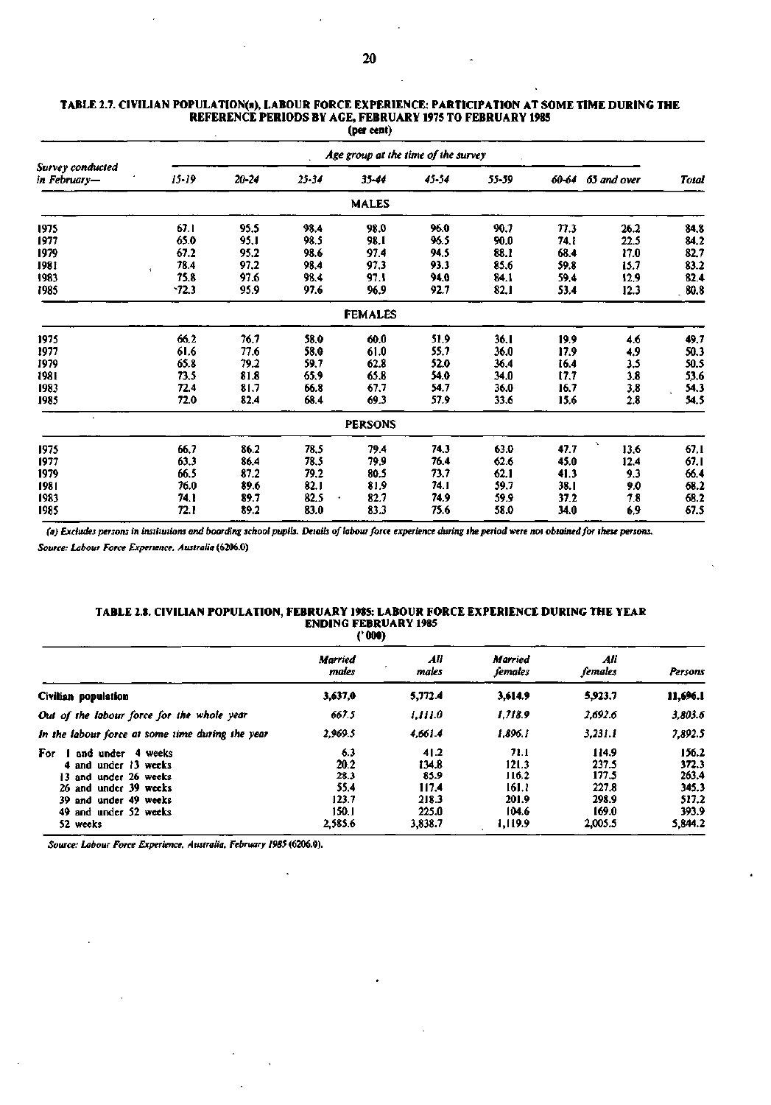|                                  |                              | Age group at the time of the survey |       |                |       |       |       |             |              |  |  |  |
|----------------------------------|------------------------------|-------------------------------------|-------|----------------|-------|-------|-------|-------------|--------------|--|--|--|
| Survey conducted<br>in February— | $15 - 19$                    | $20 - 24$                           | 25-34 | 35-44          | 45-54 | 55-59 | 60-64 | 65 and over | <b>Total</b> |  |  |  |
|                                  |                              |                                     |       | MALES          |       |       |       |             |              |  |  |  |
| 1975                             | 67.1                         | 95.5                                | 98.4  | 98.0           | 96.0  | 90.7  | 77.3  | 26.2        | 84.8         |  |  |  |
| 1977                             | 65.0                         | 95.I                                | 98.5  | 98.I           | 96.5  | 90.0  | 74. I | 22.5        | 84.2         |  |  |  |
| 1979                             | 67.2                         | 95.2                                | 98.6  | 97.4           | 94.5  | 88.1  | 68.4  | 17.0        | 82.7         |  |  |  |
| 1981                             | 78.4<br>$\ddot{\phantom{a}}$ | 97.2                                | 98.4  | 97,3           | 93.3  | 85.6  | 59.8  | 15.7        | 83.2         |  |  |  |
| 1983                             | 75.8                         | 97.6                                | 98.4  | 97.1           | 94.0  | 84.1  | 59.4  | 12.9        | 82.4         |  |  |  |
| 1985                             | $-72.3$                      | 95.9                                | 97.6  | 96.9           | 92.7  | 82.1  | 53.4  | 12.3        | 80.8         |  |  |  |
|                                  |                              |                                     |       | <b>FEMALES</b> |       |       |       |             |              |  |  |  |
| 1975                             | 66.2                         | 76.7                                | 58.0  | 60.0           | 51,9  | 36. I | 19.9  | 4.6         | 49.7         |  |  |  |
| 1977                             | 61.6                         | 77.6                                | 58.0  | 61.0           | 55.7  | 36.0  | 17.9  | 4,9         | 50.3         |  |  |  |
| 1979                             | 65.8                         | 79.2                                | 59.7  | 62.8           | 52.0  | 36.4  | 16.4  | 3.5         | 50.5         |  |  |  |
| 1981                             | 73.5                         | 81.8                                | 65.9  | 65.8           | 54.0  | 34.0  | 17.7  | 3.8         | 53.6         |  |  |  |
| 1983                             | 72.4                         | 81.7                                | 66.8  | 67.7           | 54.7  | 36.0  | 16.7  | 3.8         | 54.3         |  |  |  |
| 1985                             | 72.0                         | 82.4                                | 68.4  | 69.3           | 57.9  | 33.6  | 15.6  | 2.8         | 54.5         |  |  |  |
| $\bullet$                        |                              |                                     |       | <b>PERSONS</b> |       |       |       |             |              |  |  |  |
| 1975                             | 66.7                         | 86.2                                | 78.5  | 79.4           | 74.3  | 63.0  | 47.7  | 13.6        | 67.1         |  |  |  |
| 1977                             | 63.3                         | 86.4                                | 78.5  | 79.9           | 76.4  | 62.6  | 45.0  | 12.4        | 67.I         |  |  |  |
| 1979                             | 66.5                         | 87.2                                | 79.2  | 80.5           | 73.7  | 62.1  | 41.3  | 9.3         | 66.4         |  |  |  |
| 1981                             | 76.0                         | 89.6                                | 82.1  | 81.9           | 74. I | 59.7  | 38.I  | 9.0         | 68.2         |  |  |  |
| 1983                             | 74.1                         | 89.7                                | 82.5  | 82.7           | 74.9  | 59.9  | 37.2  | 7.8         | 68.2         |  |  |  |
| 1985                             | 72.1                         | 89.2                                | 83.0  | 83.3           | 75.6  | 58.0  | 34.0  | 6,9         | 67.5         |  |  |  |

#### **TABLE 2.7. CIVILIAN POPULATION(a), LABOUR FORCE EXPERIENCE: PARTICIPATION AT SOME TIME DURING THE REFERENCE PERIODS BY AGE, FEBRUARY 1975 TO FEBRUARY 1985 (per cent)**

*(a) Excludes persons in institutions and boarding school pupils. Details of labour force experience during the period were not obtained for these persons.* 

*Source: Labour Force Experience, Australia* **(6206.0)** 

#### **TABLE 2.8. CIVILIAN POPULATION, FEBRUARY 1985: LABOUR FORCE EXPERIENCE DURING THE YEAR ENDING FEBRUARY 1985 ('000)**

|                                                                                                                                                                  | Married<br>males                                         | All<br>males                                                | <b>Married</b><br>females                                    | All<br>females                                                | Persons                                                       |
|------------------------------------------------------------------------------------------------------------------------------------------------------------------|----------------------------------------------------------|-------------------------------------------------------------|--------------------------------------------------------------|---------------------------------------------------------------|---------------------------------------------------------------|
| Civilian population                                                                                                                                              | 3,637,0                                                  | 5,772.4                                                     | 3,614.9                                                      | 5,923.7                                                       | 11,696.1                                                      |
| Out of the labour force for the whole year                                                                                                                       | 667.5                                                    | 1,111.0                                                     | 1,718.9                                                      | 2.692.6                                                       | 3,803.6                                                       |
| In the labour force at some time during the year                                                                                                                 | 2.969.5                                                  | 4,661.4                                                     | 1.896.1                                                      | 3,231.1                                                       | 7,892.5                                                       |
| For<br>and under 4 weeks<br>4 and under 13 weeks<br>13 and under 26 weeks<br>26 and under 39 weeks<br>39 and under 49 weeks<br>49 and under 52 weeks<br>52 weeks | 6.3<br>20.2<br>28.3<br>55.4<br>123.7<br>150.1<br>2,585.6 | 41.2<br>134.8<br>85.9<br>117.4<br>218.3<br>225.0<br>3,838.7 | 71.1<br>121.3<br>116.2<br>161.1<br>201.9<br>104.6<br>1,119.9 | 114.9<br>237.5<br>177.5<br>227.8<br>298.9<br>169.0<br>2,005.5 | 156.2<br>372.3<br>263.4<br>345.3<br>517.2<br>393.9<br>5,844.2 |

*Source: Labour Force Experience, Australia. February 1985* **(6206.0).**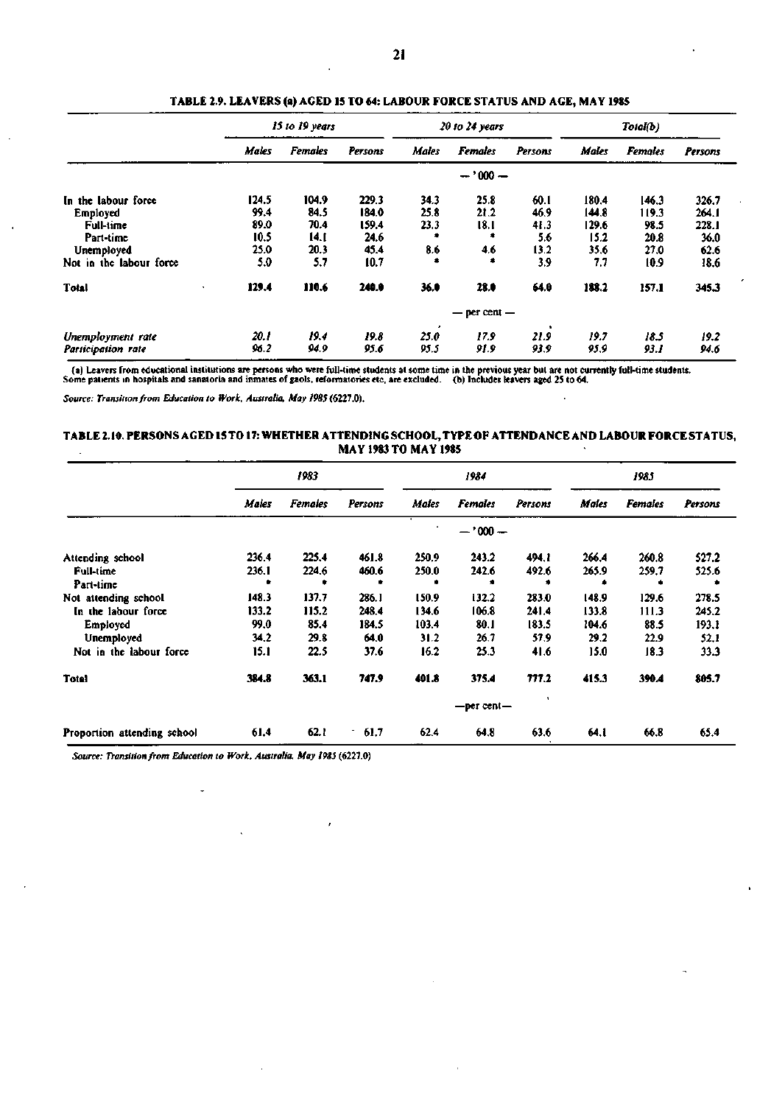|                         |       | 15 to 19 years |         |              | $20$ to $24$ years |           | Total(b) |                |         |
|-------------------------|-------|----------------|---------|--------------|--------------------|-----------|----------|----------------|---------|
|                         | Males | <b>Females</b> | Persons | <b>Males</b> | <b>Females</b>     | Persons   | Males    | <b>Females</b> | Persons |
|                         |       |                |         |              | $-1000 -$          |           |          |                |         |
| In the labour force     | 124.5 | 104.9          | 229.3   | 34.3         | 25.8               | 60.I      | 180.4    | 146.3          | 326.7   |
| Employed                | 99.4  | 84.5           | 184.0   | 25.8         | 21.2               | 46.9      | 144.8    | 119.3          | 264.1   |
| Full-time               | 89.0  | 70.4           | 159.4   | 23.3         | 18.I               | 41.3      | 129.6    | 98.5           | 228.1   |
| Part-time               | 10.5  | 14.1           | 24.6    |              |                    | 5.6       | 15.2     | 20.8           | 36.0    |
| Unemployed              | 25.0  | 20.3           | 45.4    | 8.6          | 4.6                | 13.2      | 35.6     | 27.0           | 62.6    |
| Not in the labour force | 5.0   | 5.7            | 10.7    |              | ۰                  | 3.9       | 7.7      | 10.9           | 18.6    |
| Total                   | 129.4 | 110.6          | 240.0   | 36.0         | 28.0               | 64.0      | 188.2    | 157.1          | 345.3   |
|                         |       |                |         |              | $-$ per cent $-$   |           |          |                |         |
| Unemployment rate       | 20. I | 19.4           | 19.8    | 25.0         | 17.9               | ٠<br>21.9 | 19.7     | 18.5           | 19.2    |
| Participation rate      | 96.2  | 94.9           | 95.6    | 95.5         | 91.9               | 93.9      | 95.9     | 93. I          | 94.6    |

**TABLE 2.9. LEAVERS (a) AGED 15 TO 64: LABOUR FORCE STATUS AND AGE, MAY 1985** 

(a) Leavers from educational institutions are persons who were full-time students at some time in the previous year but are not currently full-time students.<br>Some patients in hospitals and sanatoria and inmates of gaols, r

*Source: Transition from Education to Work. Australia. May 1985* (6227.0).

#### **TABLE 2.10. PERSONS AGED 15 TO 17: WHETHER ATTENDING SCHOOL, TYPE OF ATTENDANCE AND LABOUR FORCE STATUS, MAY 1983 TO MAY 1985**

|                             | 1983  |                |         | 1984  |                  |         | 1985  |                |         |
|-----------------------------|-------|----------------|---------|-------|------------------|---------|-------|----------------|---------|
|                             | Males | <b>Females</b> | Persons | Males | <b>Females</b>   | Persons | Males | <b>Females</b> | Persons |
|                             |       |                |         |       | $-1000 -$        |         |       |                |         |
| Attending school            | 236.4 | 225.4          | 461.8   | 250.9 | 243.2            | 494.1   | 266.4 | 260.8          | 527.2   |
| <b>Full-time</b>            | 236.1 | 224.6          | 460.6   | 250.0 | 242.6            | 492.6   | 265.9 | 259.7          | 525.6   |
| Part-time                   |       |                |         |       |                  |         |       |                |         |
| Not attending school        | 148.3 | 137.7          | 286.1   | 150.9 | 132.2            | 283.0   | 148.9 | 129.6          | 278.5   |
| In the labour force         | 133.2 | 115.2          | 248.4   | 134.6 | 106.8            | 241.4   | 133.8 | 111.3          | 245.2   |
| Employed                    | 99.0  | 85.4           | 184.5   | 103.4 | 80.1             | 183.5   | 104.6 | 88.5           | 193.1   |
| Unemployed                  | 34.2  | 29.8           | 64.0    | 31.2  | 26.7             | 57.9    | 29.2  | 22.9           | 52.1    |
| Not in the labour force     | 15.1  | 22.5           | 37.6    | 16.2  | 25.3             | 41.6    | 15.0  | 18.3           | 33.3    |
| <b>Total</b>                | 384.8 | 363.1          | 747.9   | 401.8 | 375.4            | 777.2   | 415.3 | 390.4          | 805.7   |
|                             |       |                |         |       | $-$ per cent $-$ |         |       |                |         |
| Proportion attending school | 61.4  | 62.1           | 61.7    | 62.4  | 64.8             | 63.6    | 64.I  | 66.8           | 65.4    |

*Source: Transition from Education to Work. Australia, May 19S5* (6227.0)

 $\ddot{\phantom{1}}$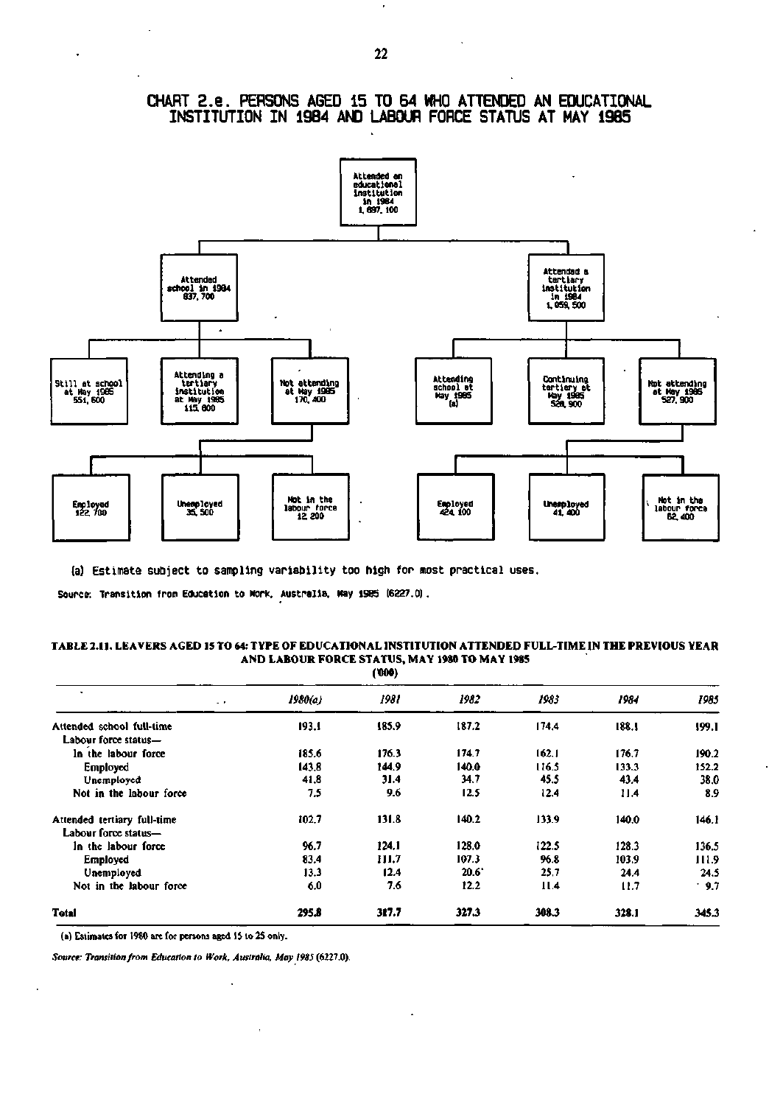

## **CHART 2.e . PERSONS AGED 15 TO 64 WHO ATTENDED AN EDUCATIONAL**  INSTITUTION IN 1984 AND LABOUR FORCE STATUS AT MAY 1985

(a) Estimate subject to sampling variability too high for most practical uses.

**Source: Transition from Education to Work. Australia. May 1985 (6327.0).** 

#### **TABLE 2.11. LEAVERS AGED 15 TO 64: TYPE OF EDUCATIONAL INSTITUTION ATTENDED FULL-TIME IN THE PREVIOUS YEAR AND LABOUR FORCE STATUS, MAY 1980 TO MAY 1985 (TOO)**

|                             |         | ,     |       |       |       |       |
|-----------------------------|---------|-------|-------|-------|-------|-------|
| $\sim$ 10 $\pm$             | 1980(a) | 1981  | 1982  | 1983  | 1984  | 1985  |
| Attended school full-time   | 193.1   | 185.9 | 187.2 | 174.4 | 188.1 | 199.1 |
| Labour force status-        |         |       |       |       |       |       |
| In the labour force         | 185.6   | 176.3 | 174.7 | 162.1 | 176.7 | 190.2 |
| Employed                    | 143.8   | 144.9 | 140.0 | 116.5 | 133.3 | 152.2 |
| Unemployed                  | 41.8    | 31.4  | 34.7  | 45.5  | 43.4  | 38.0  |
| Not in the labour force     | 7.5     | 9.6   | 12.5  | 12.4  | 11.4  | 8.9   |
| Attended tertiary full-time | 102.7   | 131.8 | 140.2 | 133.9 | 140.0 | 146.1 |
| Labour force status-        |         |       |       |       |       |       |
| In the labour force         | 96.7    | 124.1 | 128.0 | 122.5 | 128.3 | 136.5 |
| Employed                    | 83.4    | 111.7 | 107.3 | 96.8  | 103.9 | 111.9 |
| Unemployed                  | 13.3    | 12.4  | 20.6  | 25.7  | 24.4  | 24.5  |
| Not in the labour force     | 6.0     | 7.6   | 12.2  | 11.4  | 11.7  | .9.7  |
| <b>Total</b>                | 295.8   | 317.7 | 327.3 | 308.3 | 328.1 | 345.3 |

(a) Estimates for 1980 are for persons aged IS to 25 only.

 $\ddot{\phantom{0}}$ 

 $\ddot{\phantom{a}}$ 

*Source: Transition from Education to Work, Australia, May 1985* (6227.0).

 $\cdot$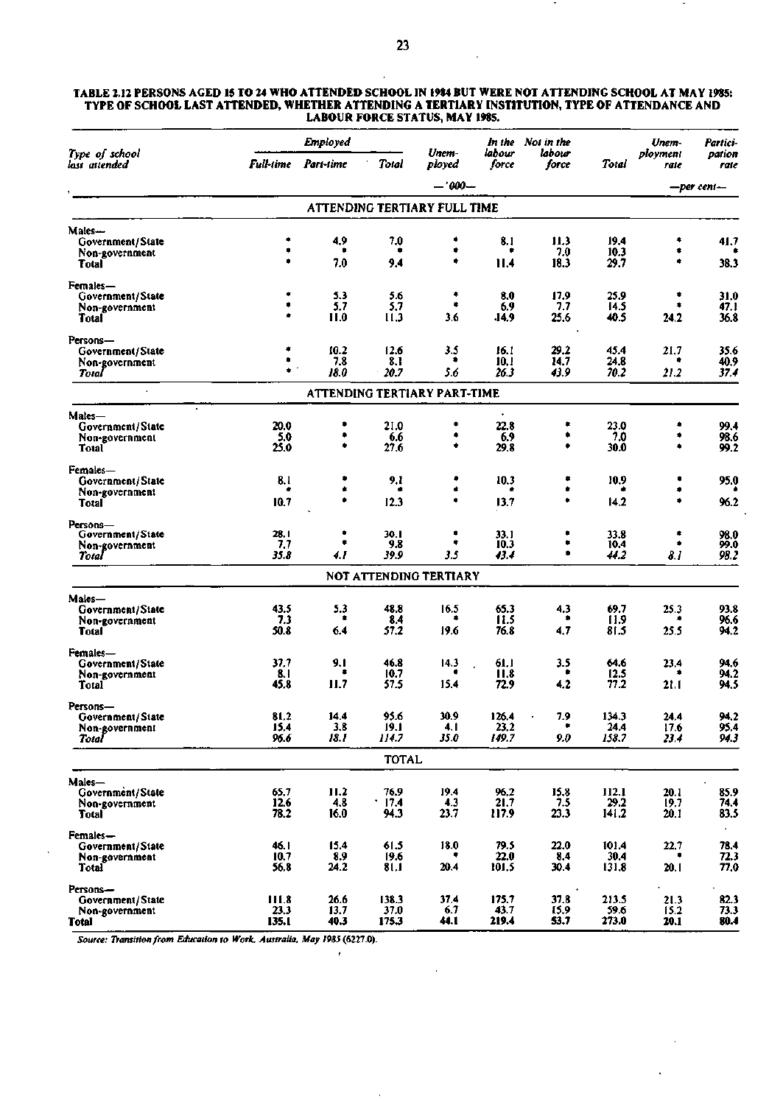#### **TABLE 2.12 PERSONS AGED 15 TO 24 WHO ATTENDED SCHOOL IN 1984 BUT WERE NOT ATTENDING SCHOOL AT MAY 1985: TYPE OF SCHOOL LAST ATTENDED, WHETHER ATTENDING A TERTIARY INSTITUTION, TYPE OF ATTENDANCE AND LABOUR FORCE STATUS, MAY 1985.**

|                                 |                  | <b>Employed</b>              |                 |                               |                 | In the Not in the |               | Unem-            | Partici-       |
|---------------------------------|------------------|------------------------------|-----------------|-------------------------------|-----------------|-------------------|---------------|------------------|----------------|
| Type of school<br>lası aıtended | <b>Full-time</b> | Part-time                    | <b>Total</b>    | Unem-<br>ployed               | labour<br>force | labour<br>force   | Total         | plovment<br>rate | pation<br>rate |
|                                 |                  |                              |                 | $-1000-$                      |                 |                   |               |                  | -per cent-     |
|                                 |                  |                              |                 | ATTENDING TERTIARY FULL TIME  |                 |                   |               |                  |                |
| Males—                          |                  |                              |                 |                               |                 |                   |               |                  |                |
| Government/State                | ٠                | 4,9                          | 7.0             | ۰                             | 8.1             | 11.3              | 19.4          | ٠                | 41.7           |
| Non-government                  |                  | 7.0                          |                 | ۰<br>۰                        |                 | 7.0               | 10.3          | ۰<br>٠           |                |
| Total                           |                  |                              | 9.4             |                               | 11.4            | 18.3              | 29.7          |                  | 38.3           |
| Females—                        |                  |                              |                 |                               |                 |                   |               |                  |                |
| Government/State                |                  | 5.3<br>5.7                   | 5.6<br>5.7      | ٠<br>۰                        | 8.0<br>6.9      | 17.9<br>7.7       | 25.9<br>14.5  | ۰                | 31.0<br>47.1   |
| Non-government<br>Total         |                  | 11.0                         | 11,3            | 3.6                           | .14.9           | 25.6              | 40.5          | 24.2             | 36.8           |
|                                 |                  |                              |                 |                               |                 |                   |               |                  |                |
| Persons-<br>Government/State    | ۰                | 10.2                         | 12.6            | 3.5                           | 16.1            | 29.2              | 45.4          | 21.7             | 35.6           |
| Non-government                  | ٠                | 7.8                          | 8.1             | ۰                             | 10.1            | 14.7              | 24.8          |                  | 40.9           |
| Total                           | $\bullet$        | 18.0                         | 20.7            | 5.6                           | 26.3            | 43.9              | 70.2          | 21.2             | 37.4           |
| $\blacksquare$                  |                  | ATTENDING TERTIARY PART-TIME |                 |                               |                 |                   |               |                  |                |
| Males—                          |                  |                              |                 |                               |                 |                   |               |                  |                |
| Government/State                | 20.0             | ٠                            | 21.0            | ٠                             | 22.8            |                   | 23.0          | ۰                | 99.4           |
| Non-government                  | 5.0              | ۰<br>۰                       | 6.6             | ۰<br>۰                        | 6.9             | ۰                 | 7.0           |                  | 98.6           |
| Total                           | 25.0             |                              | 27.6            |                               | 29.8            | ۰                 | 30.0          | ۰                | 99.2           |
| Females—                        |                  |                              |                 |                               |                 |                   |               |                  |                |
| Government/State                | 3.1              | ۰                            | 9.I             | ۰                             | 10.3            | ۰<br>۰            | 10.9          |                  | 95.0           |
| Non-government<br>Total         | 10.7             | ۰                            | 12.3            | ٠                             | 13.7            | ٠                 | 14.2          | ۰                | 96.2           |
|                                 |                  |                              |                 |                               |                 |                   |               |                  |                |
| Persons-<br>Government/State    | 28. I            | ۰                            | 30. I           | ۰                             | 33.1            | ۰                 | 33.8          | ۰                | 98.0           |
| Non-government                  | 7.7              | ۰                            | 9.8             | ٠                             | 10.3            | ۰                 | 10.4          |                  | 99.0           |
| Total                           | 35.8             | 4.1                          | 39.9            | 3.5                           | 43.4            | ۰                 | 44.2          | 8.1              | 98.2           |
|                                 |                  |                              |                 | <b>NOT ATTENDING TERTIARY</b> |                 |                   |               |                  |                |
| Males-                          |                  |                              |                 |                               |                 |                   |               |                  |                |
| Government/State                | 43.5             | 5.3                          | 48.8            | 16.5                          | 65.3            | 4.3               | 69.7          | 25.3             | 93.8           |
| Non-government                  | 7.3              | ٠                            | 8.4             |                               | 11.5            | ۰                 | 11.9          |                  | 96.6           |
| Total                           | 50.8             | 6.4                          | 57.2            | 19.6                          | 76.8            | 4,7               | 81.5          | 25.5             | 94.2           |
| Females—                        |                  |                              |                 |                               |                 |                   |               |                  |                |
| Government/State                | 37.7             | 9.1<br>۰                     | 46.8            | 14.3                          | 61.1            | 3.5<br>۰          | 64.6          | 23.4             | 94.6           |
| Non-government<br>Total         | 8.1<br>45.8      | 11.7                         | 10.7<br>57.5    | 15.4                          | 11.8<br>72.9    | 4.2               | 12.5<br>77.2  | 21.1             | 94.2<br>94.5   |
|                                 |                  |                              |                 |                               |                 |                   |               |                  |                |
| Persons—<br>Government/State    | 81.2             | 14.4                         | 95.6            | 30.9                          | 126.4           | 7.9               | 134.3         | 24.4             | 94.2           |
| Non-government                  | 15.4             | 3.8                          | 19.1            | 4. I                          | 23.2            |                   | 24.4          | 17.6             | 95.4           |
| Total                           | 96.6             | 18.1                         | 114.7           | 35.0                          | 149.7           | 9.0               | 158.7         | 23.4             | 94.3           |
|                                 |                  |                              | <b>TOTAL</b>    |                               |                 |                   |               |                  |                |
| Males-                          |                  |                              |                 |                               |                 |                   |               |                  |                |
| Government/State                | 65.7             | 11.2                         | 76.9            | 19.4                          | 96,2            | 15.8              | 112.1         | 20.1             | 85.9           |
| Non-government                  | 12.6             | 4.8                          | $^{\circ}$ 17.4 | 4.3                           | 21.7            | 7.5               | 29.2          | 19.7             | 74.4           |
| <b>Total</b>                    | 78.2             | 16.0                         | 94.3            | 23.7                          | 117.9           | 23.3              | 141.2         | 20.1             | 83.5           |
| Females-                        |                  |                              |                 |                               |                 |                   |               |                  | $\mathbf{r}$   |
| Government/State                | 46.1<br>10.7     | 15.4<br>8.9                  | 61.5            | 18.0                          | 79.5<br>22.0    | 22.0              | 101.4<br>30.4 | 22.7             | 78.4<br>72.3   |
| Non-government<br><b>Total</b>  | 56.8             | 24.2                         | 19.6<br>81.1    | 20.4                          | 101.5           | 8.4<br>30.4       | 131.8         | 20.1             | 77.0           |
|                                 |                  |                              |                 |                               |                 |                   |               |                  |                |
| Persons-<br>Government/State    | 111.8            | 26.6                         | 138.3           | 37,4                          | 175.7           | 37.8              | 213.5         | 21.3             | 82.3           |
| Non-government                  | 23.3             | 13.7                         | 37.0            | 6.7                           | 43.7            | 15.9              | 59.6          | 15.2             | 73.3           |
| Total                           | 135.1            | 40.3                         | 175.3           | 44.1                          | 219.4           | 53.7              | 273.0         | 20.1             | 80.4           |

*Source: Transition from Education to Work, Australia, May 1985* **(6227.0).** 

 $\mathcal{L}$ 

ä,

 $\ddot{\phantom{a}}$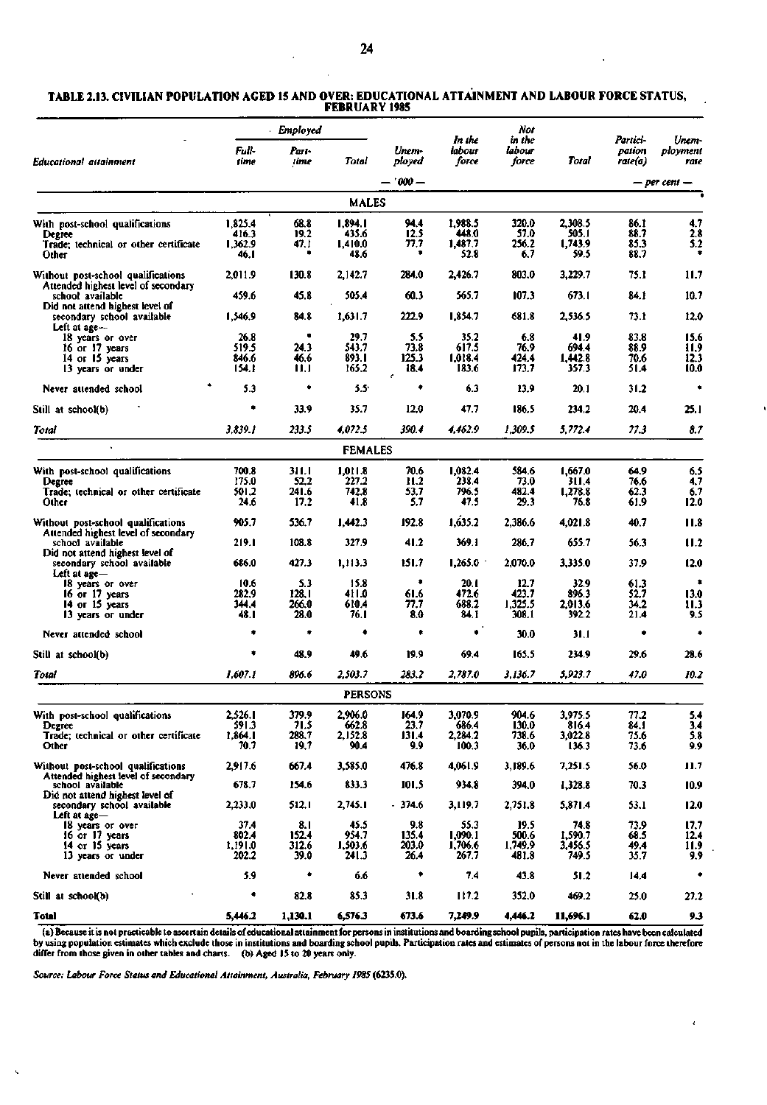| TABLE 2.13. CIVILIAN POPULATION AGED 15 AND OVER: EDUCATIONAL ATTAINMENT AND LABOUR FORCE STATUS, |  |
|---------------------------------------------------------------------------------------------------|--|
| <b>FEBRUARY 1985</b>                                                                              |  |

|                                                                           |                  | - Employed    |                 |                 |                           | Not                       |                    |                               |                           |
|---------------------------------------------------------------------------|------------------|---------------|-----------------|-----------------|---------------------------|---------------------------|--------------------|-------------------------------|---------------------------|
| Educational attainment                                                    | Full-<br>time    | Pari-<br>time | Total           | Unem-<br>ploved | In the<br>labour<br>force | in the<br>labour<br>force | Total              | Partici-<br>pation<br>rale(a) | Unem-<br>ployment<br>rate |
|                                                                           |                  |               |                 | - '000 -        |                           |                           |                    |                               | — per cent —              |
|                                                                           |                  |               | <b>MALES</b>    |                 |                           |                           |                    |                               |                           |
| With post-school qualifications                                           | 1,825.4          | 68.8          | 1,894.1         | 94.4            | 1.988.5                   | 320.0                     | 2,308.5            | 86.1                          | 4.7                       |
| Degree                                                                    | 416.3            | 19.2          | 435.6           | 12.5            | 448.0                     | 57.0                      | 505.I              | 88.7                          | 2.8                       |
| Trade; technical or other certificate                                     | 1,362.9          | 47. I         | 1,410.0         | 77,7<br>٠       | 1,487.7                   | 256.2                     | 1,743.9            | 85.3                          | 5.2<br>۰                  |
| Other                                                                     | 46.I             |               | 48.6            |                 | 52.8                      | 6.7                       | 59.5               | 88.7                          |                           |
| Without post-school qualifications                                        | 2,011.9          | 130.8         | 2,142.7         | 284.0           | 2,426.7                   | 803.0                     | 3,229.7            | 75.1                          | 11.7                      |
| Attended highest level of secondary                                       |                  |               |                 |                 |                           |                           |                    |                               |                           |
| school available                                                          | 459.6            | 45.8          | 505.4           | 60.3            | 565.7                     | 107.3                     | 673.1              | 84.1                          | 10.7                      |
| Did not attend highest level of                                           |                  |               |                 |                 |                           |                           |                    |                               |                           |
| secondary school available                                                | 1,546.9          | 84.8          | 1,631.7         | 222.9           | 1,854.7                   | 681.8                     | 2,536.5            | 73.1                          | 12.0                      |
| Left at $age -$                                                           |                  |               |                 |                 |                           |                           |                    |                               |                           |
| 18 years or over                                                          | 26.8             | ٠             | 29.7            | 5.5             | 35.2                      | 6.8                       | 41.9               | 83.8                          | 15.6                      |
| 16 or 17 years                                                            | 519.5            | 24.3          | 543.7           | 73.8            | 617.5                     | 76.9                      | 694.4              | 88.9                          | 11.9                      |
| 14 or 15 years                                                            | 846.6            | 46,6<br>11,1  | 893.1<br>165.2  | 125.3<br>18,4   | 1,018.4<br>183.6          | 424.4<br>173.7            | 1,442.8<br>357.3   | 70.6<br>51.4                  | 12.3<br>10.0              |
| 13 years or under                                                         | 154.1            |               |                 | e               |                           |                           |                    |                               |                           |
| Never attended school                                                     | 5.3              | ۰             | 5.5             | ۰               | 6.3                       | 13.9                      | 20.1               | 31.2                          | ۰                         |
| Still at school(b)                                                        | ۰                | 33.9          | 35.7            | 12.0            | 47.7                      | 186.5                     | 234.2              | 20.4                          | 25.1                      |
| Total                                                                     | 3,839.1          | 233.5         | 4.072.5         | 390.4           | 4,462.9                   | 1,309.5                   | 5,772.4            | 77.3                          | 8.7                       |
|                                                                           |                  |               | <b>FEMALES</b>  |                 |                           |                           |                    |                               |                           |
| With post-school qualifications                                           | 700.8            | 31 I.I        | 1,011.8         | 70.6            | 1,082.4                   | 584.6                     | 1,667.0            | 64.9                          | 6.5                       |
| Degree                                                                    | 175.0            | 52,2          | 227.2           | 11.2            | 238.4                     | 73.0                      | 311.4              | 76.6                          | 4,7                       |
| Trade: technical or other certificate                                     | 501.2            | 241.6         | 742.8           | 53,7            | 796.5                     | 482.4                     | 1,278.8            | 62.3                          | 6.7                       |
| Other                                                                     | 24.6             | 17.2          | 41.8            | 5.7             | 47.5                      | 29.3                      | 76.8               | 61.9                          | 12.0                      |
|                                                                           |                  |               |                 |                 |                           |                           |                    |                               |                           |
| Without post-school qualifications                                        | 905.7            | 536.7         | 1,442.3         | 192.8           | 1,635.2                   | 2,386.6                   | 4,021.8            | 40.7                          | 11.8                      |
| Attended highest level of secondary                                       |                  |               |                 |                 |                           |                           |                    |                               |                           |
| school available                                                          | 219.1            | 108.8         | 327.9           | 41.2            | 369.1                     | 286.7                     | 655.7              | 56.3                          | 11.2                      |
| Did not attend highest level of                                           | 686.0            | 427.3         |                 | 151.7           | 1,265.0                   | 2,070.0                   | 3,335.0            |                               |                           |
| secondary school available<br>Left at age-                                |                  |               | 1,113.3         |                 |                           |                           |                    | 37,9                          | 12.0                      |
| 18 years or over                                                          | 10.6             | 5.3           | 15.8            | ۰               | 20.1                      | 12.7                      | 32.9               | 61.3                          | $\bullet$                 |
| 16 or 17 years                                                            | 282.9            | 128.1         | 411.0           | 61.6            | 472.6                     | 423.7                     | 896.3              | 52.7                          | 13.0                      |
| $14$ or $15$ years                                                        | 344.4            | 266.0         | 610.4           | 77.7            | 688.2                     | 1,325.5                   | 2.013.6            | 34.2                          | 11.3                      |
| 13 years or under                                                         | 48.I             | 28.0          | 76.I            | 8.0             | 84.1                      | 308.1                     | 392.2              | 21.4                          | 9.5                       |
| Never attended school                                                     | ۰                | ۰             | ٠               | ٠               | ٠                         | 30.0                      | 31.I               | ٠                             | ۰                         |
| Still at school(b)                                                        | ۰                | 48.9          | 49.6            | 19.9            | 69.4                      | 165.5                     | 234.9              | 29.6                          | 28.6                      |
| Total                                                                     | 1,607.1          | 896.6         | 2,503.7         | 283.2           | 2,787.0                   | 3,136.7                   | 5,923.7            | 47.0                          | 10.2                      |
|                                                                           |                  |               | <b>PERSONS</b>  |                 |                           |                           |                    |                               |                           |
|                                                                           |                  |               |                 |                 |                           |                           |                    |                               |                           |
| With post-school qualifications                                           | 2,526.1          | 379.9         | 2,906.0         | 164.9           | 3,070.9                   | 904.6                     | 3,975.5            | 77.2                          | 5.4                       |
| Degree                                                                    | 591.3<br>1.864.1 | 71.5          | 662.8           | 23.7            | 686.4                     | 130.0                     | 816.4              | 84. I                         | 3.4                       |
| Trade; technical or other certificate<br>Other                            | 70.7             | 288.7<br>19,7 | 2,152.8<br>90.4 | 131.4<br>9.9    | 2,284.2<br>100.3          | 738.6<br>36.0             | 3,022.8<br>136.3   | 75.6<br>73.6                  | 5.8<br>9.9                |
|                                                                           |                  |               |                 |                 |                           |                           |                    |                               |                           |
| Without post-school qualifications<br>Attended highest level of secondary | 2,917.6          | 667.4         | 3,585.0         | 476.8           | 4,061.9                   | 3,189.6                   | 7,251.5            | 56.0                          | 11.7                      |
| school available                                                          | 678.7            | 154.6         | 833.3           | 101.5           | 934.8                     | 394.0                     | 1,328.8            | 70.3                          | 10.9                      |
| Did not attend highest level of<br>secondary school available             | 2,233.0          | 512.1         | 2,745.1         | - 374.6         | 3,119.7                   | 2,751.8                   | 5,871.4            | 53.1                          | 12.0                      |
| Left at age-                                                              |                  |               |                 |                 |                           |                           |                    |                               |                           |
| 18 years or over                                                          | 37.4<br>802.4    | 8.1<br>152.4  | 45.5<br>954.7   | 9.8             | 55.3                      | 19.5<br>500.6             | 74.8               | 73.9                          | 17,7                      |
| 16 or 17 years<br>$14$ or $15$ years                                      | 1,191.0          | 312.6         | 1,503.6         | 135.4<br>203.0  | 1,090.1<br>1,706.6        | 1,749.9                   | 1,590.7<br>3,456.5 | 68.5<br>49.4                  | 12.4<br>11.9              |
| 13 years or under                                                         | 202.2            | 39.0          | 241.3           | 26.4            | 267.7                     | 481.8                     | 749.5              | 35.7                          | 9.9                       |
|                                                                           |                  |               |                 |                 |                           |                           |                    |                               |                           |
| Never attended school                                                     | 5.9              | ۰             | 6.6             | ۰               | 7.4                       | 43.8                      | 51.2               | 14,4                          | ٠                         |
| Still at school(b)                                                        | ۰                | 82.8          | 85.3            | 31.8            | 117.2                     | 352.0                     | 469.2              | 25.0                          | 27.2                      |
| Total                                                                     | 5,446.2          | 1,130.1       | 6,576.3         | 673.6           | 7,249.9                   | 4,446.2                   | 11,696.1           | 62.0                          | 9.3                       |

a) Because it is not practicable to ascertain details of educational attainment for persons in institutions and boarding school pupils, participation ra<br>by using population estimates which exclude those in institutions and rates have been calculated the labour force therefore

 $\epsilon$ 

*Source: Labour Force Status and Educational Attainment, Australia, February 1985* **(6235.0).** 

 $\ddot{\phantom{0}}$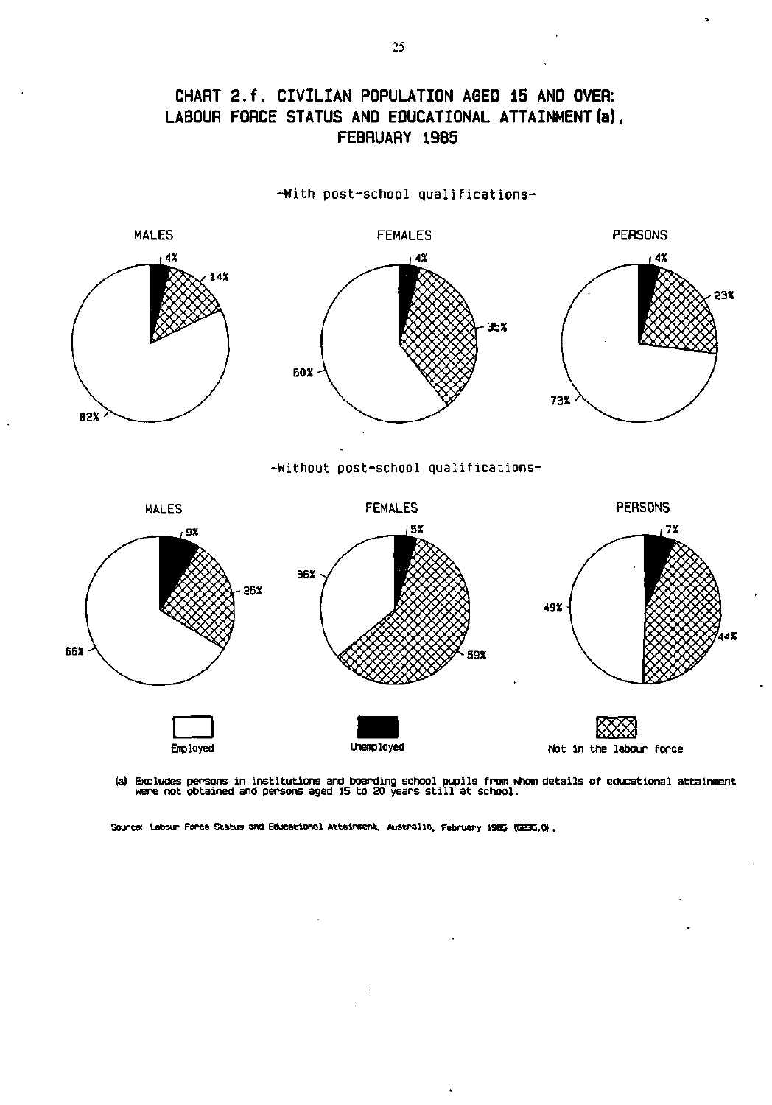## **CHART 2.f . CIVILIAN POPULATION AGED 15 AND OVER: LABOUR FORCE STATUS AND EDUCATIONAL ATTAINMENT (a). FEBRUARY 19B5**

-With post-school qualifications -



(a) Excludes persons in institutions and boarding school pupils from whom details of educational attainment<br>were not obtained and persons aged 15 to 20 years still at school.

**Source: Labour Force Status and Educational Attainment. Australia. February 1985 (6235.0).** 

0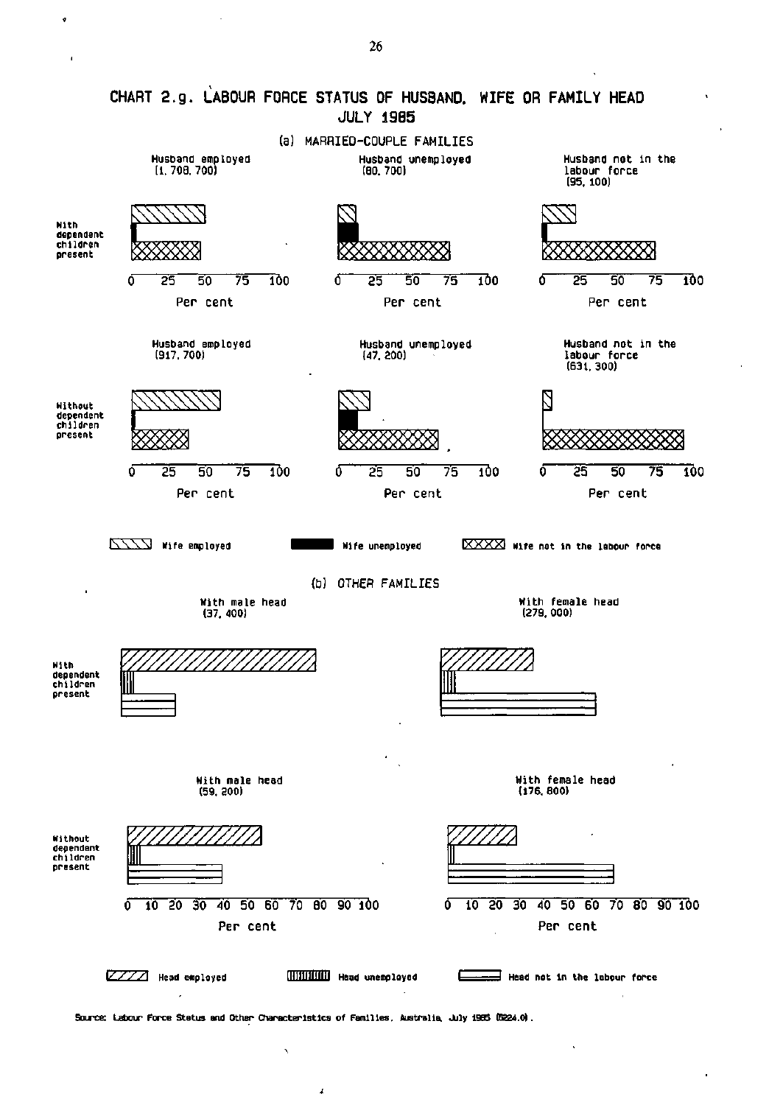

**Source: Labour Force Status and Other Characteristics of Families. Australia. July 1985 (6224.0).** 

J

Ń

¢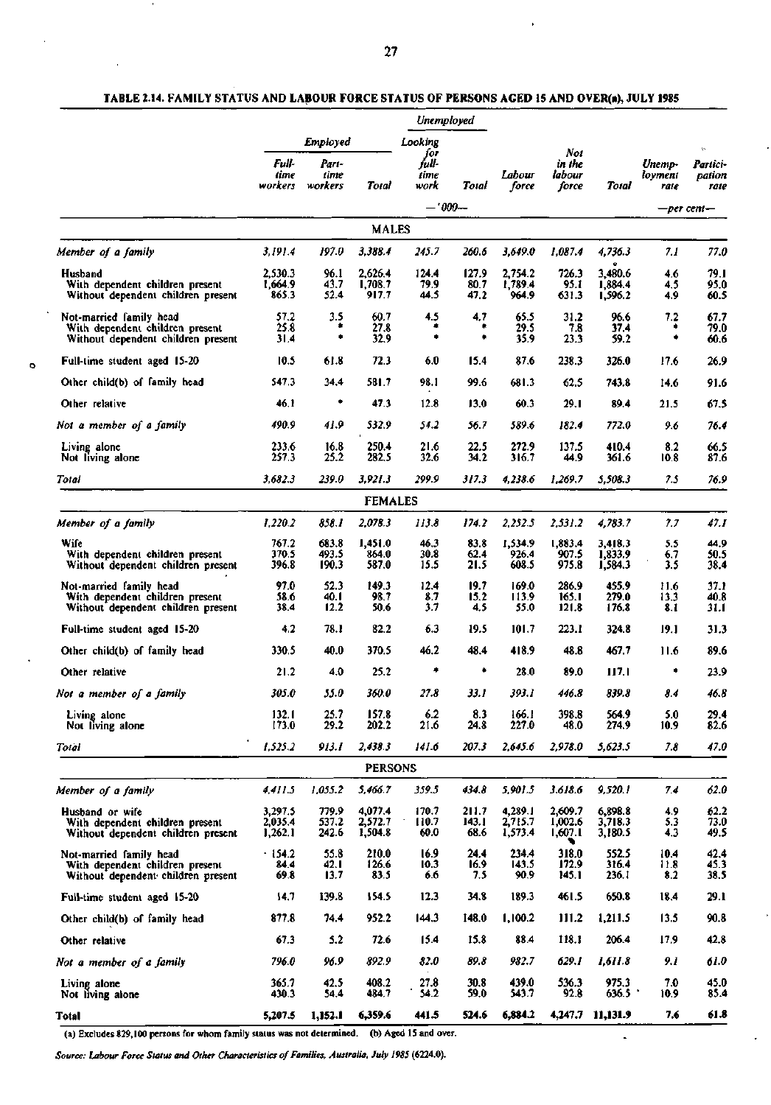## **TABLE 2.14. FAMILY STATUS AND LABOUR FORCE STATUS OF PERSONS AGED 15 AND OVER(a), JULY 1985**

|                                                                                                  |                               |                                      |                               | Unemployed                              |                        |                               |                                  |                               |                           |                                              |
|--------------------------------------------------------------------------------------------------|-------------------------------|--------------------------------------|-------------------------------|-----------------------------------------|------------------------|-------------------------------|----------------------------------|-------------------------------|---------------------------|----------------------------------------------|
|                                                                                                  | Full-<br>time<br>workers      | Employed<br>Part-<br>time<br>workers | Total                         | Looking<br>for<br>full-<br>time<br>work | Total                  | Labour<br>force               | Not<br>in the<br>labour<br>force | Total                         | Unemp-<br>loyment<br>rate | $\mathfrak{b}$<br>Partici-<br>pation<br>rate |
|                                                                                                  |                               |                                      |                               |                                         | — '000—                |                               |                                  |                               |                           | —per cent—                                   |
|                                                                                                  |                               |                                      | <b>MALES</b>                  |                                         |                        |                               |                                  |                               |                           |                                              |
| Member of a family                                                                               | 3,191.4                       | 197.0                                | 3,388.4                       | 245.7                                   | 260.6                  | 3,649.0                       | 1,087.4                          | 4,736.3                       | 7.I                       | 77.0                                         |
| Husband<br>With dependent children present<br>Without dependent children present                 | 2.530.3<br>1,664.9<br>865.3   | 96.1<br>43.7<br>52.4                 | 2,626.4<br>1,708.7<br>917.7   | 124.4<br>79.9<br>44.5                   | 127.9<br>80.7<br>47.2  | 2,754.2<br>1,789.4<br>964.9   | 726.3<br>95.I<br>631.3           | 3,480.6<br>1.884.4<br>1,596.2 | 4.6<br>4.5<br>4.9         | 79.I<br>95.0<br>60.5                         |
| Not-married family head<br>With dependent children present<br>Without dependent children present | 57.2<br>25.8<br>31.4          | 3.5<br>۰<br>۰                        | 60.7<br>27.8<br>32.9          | 4.5<br>۰                                | 4.7<br>۰<br>۰          | 65.5<br>29.5<br>35.9          | 31.2<br>7.8<br>23.3              | 96.6<br>37.4<br>59.2          | 7.2<br>۰<br>۰             | 67.7<br>79.0<br>60.6                         |
| Full-time student aged 15-20                                                                     | 10.5                          | 61.8                                 | 72.3                          | 6.0                                     | 15.4                   | 87.6                          | 238.3                            | 326.0                         | 17.6                      | 26.9                                         |
| Other child(b) of family head                                                                    | 547.3                         | 34.4                                 | 581.7                         | 98.1                                    | 99.6                   | 681.3                         | 62.5                             | 743.8                         | 14.6                      | 91.6                                         |
| Other relative                                                                                   | 46.1                          | ۰                                    | 47.3                          | 12.8                                    | 13.0                   | 60.3                          | 29.1                             | 89.4                          | 21.5                      | 67.5                                         |
| Not a member of a family                                                                         | 490.9                         | 41.9                                 | 532.9                         | 54.2                                    | 56.7                   | 589.6                         | 182.4                            | 772.0                         | 9.6                       | 76.4                                         |
| Living alone<br>Not living alone                                                                 | 233.6<br>257.3                | 16.8<br>25.2                         | 250.4<br>282.5                | 21.6<br>32.6                            | 22.5<br>34.2           | 272.9<br>316.7                | 137.5<br>44.9                    | 410.4<br>361.6                | 8.2<br>10.8               | 66.5<br>87.6                                 |
| Total                                                                                            | 3,682.3                       | 239.O                                | 3,921.3                       | 299.9                                   | 317.3                  | 4,238.6                       | 1,269.7                          | 5,508.3                       | 7.5                       | 76.9                                         |
|                                                                                                  |                               |                                      | <b>FEMALES</b>                |                                         |                        |                               |                                  |                               |                           |                                              |
| Member of a family                                                                               | 1,220.2                       | 858.1                                | 2,078.3                       | 113.8                                   | 174.2                  | 2,252.5                       | 2,531.2                          | 4,783.7                       | 7.7                       | 47.1                                         |
| Wife<br>With dependent children present<br>Without dependent children present                    | 767.2<br>370.5<br>396.8       | 683.8<br>493.5<br>190.3              | 1,451.0<br>864.0<br>587.0     | 46.3<br>30.8<br>15.5                    | 83.8<br>62.4<br>21.5   | 1,534.9<br>926.4<br>608.5     | 1,883.4<br>907.5<br>975.8        | 3,418.3<br>1,833.9<br>1,584.3 | 5.5<br>6.7<br>3.5         | 44.9<br>50.5<br>38.4                         |
| Not-married family head<br>With dependent children present<br>Without dependent children present | 97.0<br>58.6<br>38.4          | 52.3<br>40. I<br>12.2                | 149.3<br>98.7<br>50.6         | 12.4<br>8.7<br>3.7                      | 19.7<br>15.2<br>4.5    | 169.0<br>113.9<br>55.0        | 286.9<br>165.1<br>121.8          | 455.9<br>279.0<br>176.8       | 11.6<br>13.3<br>8. I      | 37.1<br>40.8<br>31.1                         |
| Full-time student aged 15-20                                                                     | 4.2                           | 78.1                                 | 82.2                          | 6.3                                     | 19.5                   | 101.7                         | 223.1                            | 324.8                         | 19.1                      | 31.3                                         |
| Other child(b) of family head                                                                    | 330.5                         | 40.0                                 | 370.5                         | 46.2                                    | 48.4                   | 418.9                         | 48.8                             | 467.7                         | 11.6                      | 89.6                                         |
| Other relative                                                                                   | 21.2                          | 4.0                                  | 25.2                          | ٠                                       | ۰                      | 28.0                          | 89.0                             | 117.1                         | ٠                         | 23.9                                         |
| Not a member of a family                                                                         | 305.0                         | 55.0                                 | 360.0                         | 27.8                                    | 33.1                   | 393.1                         | 446.8                            | 839.8                         | 8.4                       | 46.8                                         |
| Living alone<br>Not living alone                                                                 | 132.1<br>173.0                | 25.7<br>29.2                         | 157.8<br>202.2                | 6.2<br>21.6                             | 8.3<br>24.8            | 166.1<br>227.0                | 398.8<br>48.0                    | 564.9<br>274.9                | 5.0<br>10.9               | 29.4<br>82.6                                 |
| Total                                                                                            | 1,525.2                       | 913.1                                | 2,438.3                       | 141.6                                   | 207.3                  | 2.645.6                       | 2,978.0                          | 5,623.5                       | 7.8                       | 47.0                                         |
|                                                                                                  |                               |                                      | <b>PERSONS</b>                |                                         |                        |                               |                                  |                               |                           |                                              |
| Member of a family                                                                               | 4,411.5                       | 1,055.2                              | 5,466.7                       | 359.5                                   | 434.8                  | 5,901.5                       | 3.618.6                          | 9,520.1                       | 7.4                       | 62.0                                         |
| Husband or wife<br>With dependent children present<br>Without dependent children present         | 3,297.5<br>2,035.4<br>1,262.1 | 779.9<br>537.2<br>242.6              | 4,077.4<br>2,572.7<br>1,504.8 | 170.7<br>110.7<br>60.0                  | 211.7<br>143.1<br>68.6 | 4,289.1<br>2,715.7<br>1,573.4 | 2,609.7<br>1,002.6<br>1,607.1    | 6,898.8<br>3,718.3<br>3,180.5 | 4.9<br>5.3<br>4.3         | 62.2<br>73.0<br>49.5                         |
| Not-married family head<br>With dependent children present<br>Without dependent children present | .154.2<br>84.4<br>69.8        | 55.8<br>42. I<br>13.7                | 210.0<br>126.6<br>83.5        | 16.9<br>10.3<br>6.6                     | 24.4<br>16.9<br>7.5    | 234.4<br>143.5<br>90.9        | 318.0<br>172.9<br>145.1          | 552.5<br>316.4<br>236. I      | 10.4<br>11.8<br>8.2       | 42.4<br>45.3<br>38.5                         |
| Full-time student aged 15-20                                                                     | 14,7                          | 139.8                                | 154.5                         | 12.3                                    | 34.8                   | 189.3                         | 461.5                            | 650.8                         | 18.4                      | 29.1                                         |
| Other child(b) of family head                                                                    | 877.8                         | 74.4                                 | 952.2                         | 144.3                                   | 148.0                  | 1,100.2                       | 111.2                            | 1,211.5                       | 13.5                      | 90.8                                         |
| Other relative                                                                                   | 67.3                          | 5.2                                  | 72.6                          | 15.4                                    | 15.8                   | 88.4                          | 118.1                            | 206.4                         | 17.9                      | 42.8                                         |
| Not a member of a family                                                                         | 796.0                         | 96.9                                 | 892.9                         | 82.0                                    | 89.8                   | 982.7                         | 629.1                            | 1,611.8                       | 9.1                       | 61.0                                         |
| Living alone<br>Not living alone                                                                 | 365.7<br>430.3                | 42.5<br>54.4                         | 408.2<br>484.7                | 27.8<br>54.2                            | 30.8<br>59.0           | 439.0<br>543.7                | 536.3<br>92.8                    | 975.3<br>636.5                | 7.0<br>10.9               | 45.0<br>85.4                                 |
| Total                                                                                            | 5,207.5                       | 1,152.1                              | 6,359.6                       | 441.5                                   | 524.6                  | 6,884.2                       |                                  | 4,247.7 11,131.9              | 7.6                       | 61.8                                         |

 $\blacksquare$ 

(a) Excludes 829,100 persons for whom family status was not determined, (b) Aged IS and over.

 $\ddot{\mathbf{Q}}$ 

*Source: Labour Force Status and Other Characteristics of Families, Australia, July 1985* **(6224.0).**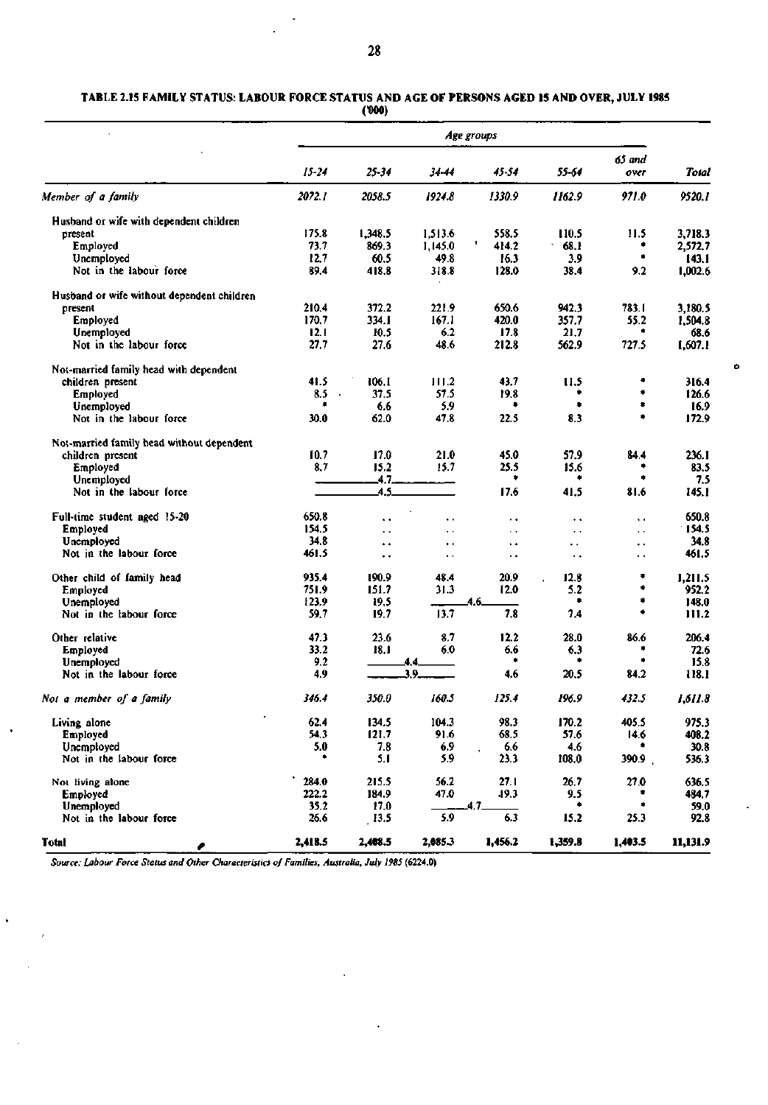#### **TABLE 2.15 FAMILY STATUS: LABOUR FORCE STATUS AND AGE OF PERSONS AGED 15 AND OVER, JULY 1985 Cooo)**

|                                            |                |                      |                      | Age groups           |                      |                      |                    |
|--------------------------------------------|----------------|----------------------|----------------------|----------------------|----------------------|----------------------|--------------------|
|                                            | $15 - 24$      | 25-34                | 34-44                | 45-54                | 55-64                | 65 and<br>over       | Total              |
| Member of a family                         | 2072.1         | 2058.5               | 1924.8               | 1330.9               | 1162.9               | 971.0                | 9520.1             |
|                                            |                |                      |                      |                      |                      |                      |                    |
| Husband or wife with dependent children    | 175.8          | 1,348.5              |                      | 558.5                |                      |                      |                    |
| present<br>Employed                        | 73.7           | 869.3                | 1,513.6<br>1,145.0   | ł.<br>414.2          | 110.5<br>68.1        | 11.5<br>۰            | 3,718.3<br>2,572.7 |
| Unemployed                                 | 12.7           | 60.5                 | 49.8                 | 16.3                 | 3.9                  | ۰                    | 143.1              |
| Not in the labour force                    | 89.4           | 418.8                | 318.8                | 128.0                | 38.4                 | 9.2                  | 1.002.6            |
| Husband or wife without dependent children |                |                      |                      |                      |                      |                      |                    |
| present                                    | 210.4          | 372.2                | 221.9                | 650.6                | 942.3                | 783.1                | 3,180.5            |
| Employed                                   | 170.7          | 334. J               | 167.1                | 420.0                | 357.7                | 55.2                 | 1,504.8            |
| Unemployed                                 | 12.1           | 10.5                 | 6.2                  | 17.8                 | 21.7                 | ٠                    | 68.6               |
| Not in the labour force                    | 27.7           | 27.6                 | 48.6                 | 212.8                | 562.9                | 727.5                | 1,607.1            |
| Not-married family head with dependent     |                |                      |                      |                      |                      |                      |                    |
| children present                           | 41.5           | 106.1                | 111.2                | 43.7                 | 11.5                 | ٠                    | 316.4              |
| <b>Employed</b>                            | 8.5<br>$\cdot$ | 37.5                 | 57.5                 | 19.8                 |                      | ۰                    | 126.6              |
| Unemployed                                 | ۰              | 6.6                  | 5.9                  | ٠                    | ۰                    | ۰                    | 16.9               |
| Not in the labour force                    | 30.0           | 62.0                 | 47.8                 | 22.5                 | 8.3                  |                      | 172.9              |
| Not-married family head without dependent  |                |                      |                      |                      |                      |                      |                    |
| children present                           | 10.7           | 17.0                 | 21.0                 | 45.0                 | 57.9                 | 84.4                 | 236.1              |
| Employed                                   | 8.7            | 15.2                 | 15.7                 | 25.5                 | 15.6                 |                      | 83.5               |
| Unemployed                                 |                | 4.7.                 |                      | ۰                    | ۰                    | ۰                    | 7.5                |
| Not in the labour force                    |                | 4.5.                 |                      | 17.6                 | 41.5                 | 81.6                 | 145.1              |
| Full-time student aged 15-20               | 650.8          | ٠.                   | $\ddot{\phantom{1}}$ | ٠.                   | $\ddot{\phantom{1}}$ | $\ddot{\phantom{1}}$ | 650.8              |
| Employed                                   | 154.5          | . .                  | $\ddot{\phantom{1}}$ | $\ddot{\phantom{1}}$ | $\ddot{\phantom{1}}$ | $\ddot{\phantom{1}}$ | 154.5              |
| Unemployed                                 | 34.8           | $\ddot{\phantom{1}}$ | $\bullet$ .          | ٠.                   | . .                  | .,                   | 34.8               |
| Not in the labour force                    | 461.5          | $\ddot{\phantom{0}}$ | $\sim$               | ٠.                   | $\ddot{\phantom{0}}$ | ٠.                   | 461.5              |
| Other child of family head                 | 935.4          | 190.9                | 48.4                 | 20.9                 | 12.8                 | ۰                    | 1,211.5            |
| Employed                                   | 751.9          | 151.7                | 31.3                 | 12.0                 | 5.2                  | ۰                    | 952.2              |
| Unemployed                                 | 123.9          | 19.5                 |                      | 4.6.                 | ۰                    | ۰                    | 148.0              |
| Not in the labour force                    | 59.7           | 19.7                 | 13.7                 | 7.8                  | 7.4                  | ۰                    | 111.2              |
| Other relative                             | 47.3           | 23.6                 | 8.7                  | 12.2                 | 28.0                 | 86.6                 | 206.4              |
| Employed                                   | 33.2           | 18.1                 | 6.0                  | 6.6                  | 6.3                  |                      | 72.6               |
| Unemployed                                 | 9.2            |                      | 4.4.                 | ٠                    | ٠                    | ٠                    | 15.8               |
| Not in the labour force                    | 4.9            |                      | 3.9.                 | 4.6                  | 20.5                 | 84.2                 | 118.1              |
| Not a member of a family                   | 346.4          | 350.0                | 160.5                | 125.4                | 196.9                | 432.5                | 1.611.8            |
| Living alone                               | 62.4           | 134.5                | 104.3                | 98.3                 | 170.2                | 405.5                | 975.3              |
| Employed                                   | 54.3           | 121.7                | 91.6                 | 68.5                 | 57.6                 | 14.6                 | 408.2              |
| Unemployed                                 | 5.0            | 7.8                  | 6.9                  | 6.6                  | 4.6                  |                      | 30.8               |
| Not in the labour force                    | ۰              | 5.1                  | 5.9                  | 23.3                 | 108.0                | 390.9                | 536.3              |
| Not living alone                           | 284.0          | 215.5                | 56.2                 | 27.1                 | 26.7                 | 27.0                 | 636.5              |
| Employed                                   | 222.2          | 184.9                | 47.0                 | 19.3                 | 9.5                  |                      | 484.7              |
| Unemployed                                 | 35.2           | 17.0                 |                      | $4.7-$               | ۰                    | ٠                    | 59.0               |
| Not in the labour force                    | 26.6           | 13.5                 | 5.9                  | 6.3                  | 15.2                 | 25.3                 | 92.8               |
| <b>Total</b>                               | 2,418.5        | 2,408.5              | 2,085.3              | 1,456.2              | 1,359.8              | 1,403.5              | 11,131.9           |

ó

*Source: Labour Force Status and Other Characteristics of Families, Australia, July 1985* **(6224.0)** 

l,

 $\ddot{\phantom{1}}$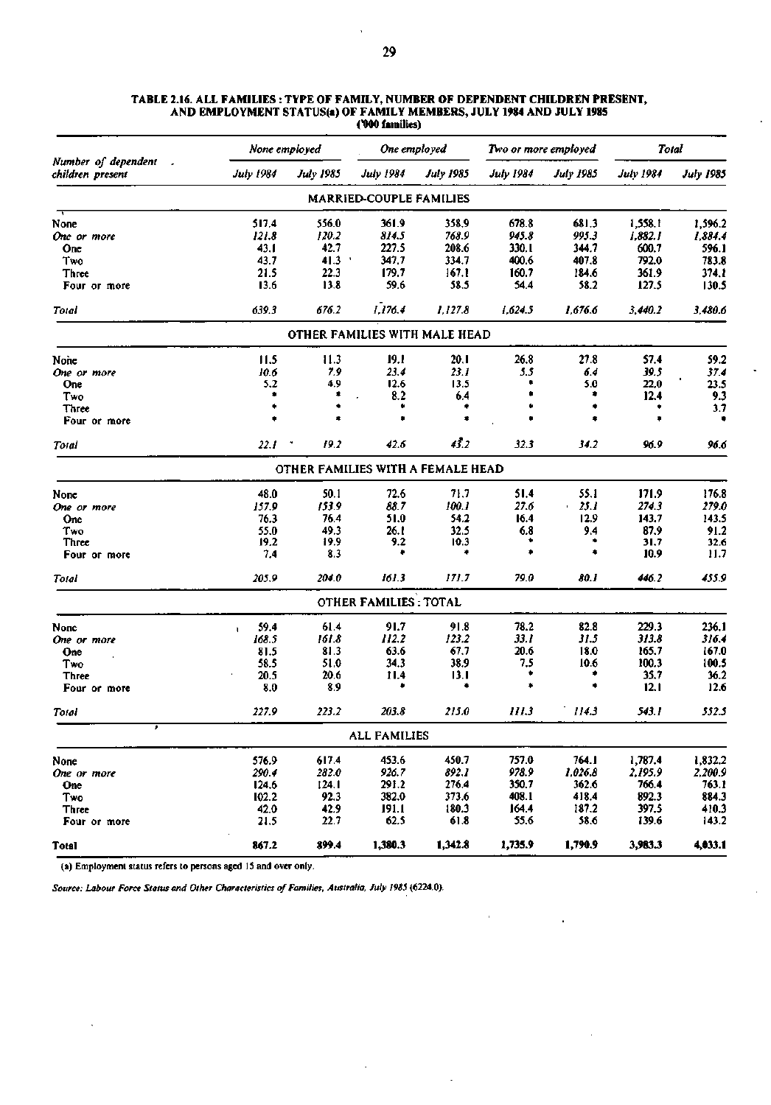|                                                           | None employed        |                                   | One employed                  |                  |                  | Two or more employed | Total            |                  |
|-----------------------------------------------------------|----------------------|-----------------------------------|-------------------------------|------------------|------------------|----------------------|------------------|------------------|
| Number of dependent<br>$\overline{ }$<br>children present | <b>July 1984</b>     | <b>July 1985</b>                  | <b>July 1984</b>              | <b>July 1985</b> | <b>July 1984</b> | <b>July 1985</b>     | <b>July 1984</b> | <b>July 1985</b> |
|                                                           |                      |                                   | MARRIED-COUPLE FAMILIES       |                  |                  |                      |                  |                  |
| None                                                      | 517.4                | 556.0                             | 361.9                         | 358.9            | 678.8            | 681.3                | 1,558.1          | 1,596.2          |
| One or more                                               | 121.8                | 120.2                             | 814.5                         | 768.9            | 945.8            | 995.3                | 1,882.1          | 1.884.4          |
| One                                                       | 43.1                 | 42.7                              | 227.5                         | 208.6            | 330.I            | 344.7                | 600.7            | 596.1            |
| Two                                                       | 43.7                 | 41.3                              | 347,7                         | 334.7            | 400.6            | 407.8                | 792.0            | 783.8            |
| Three                                                     | 21.5                 | 22.3                              | 179.7                         | 167.1            | 160.7            | 184.6                | 361.9            | 374.1            |
| Four or more                                              | 13.6                 | 13.8                              | 59.6                          | 58.5             | 54.4             | 58.2                 | 127.5            | 130.5            |
| Total                                                     | 639.3                | 676.2                             | 1,176.4                       | 1,127.8          | 1.624.5          | 1.676.6              | 3.440.2          | 3.480.6          |
|                                                           |                      |                                   | OTHER FAMILIES WITH MALE HEAD |                  |                  |                      |                  |                  |
| None                                                      | 11.5                 | 11.3                              | 19.1                          | 20. I            | 26.8             | 27.8                 | \$7.4            | 59.2             |
| One or more                                               | 10.6                 | 7.9                               | 23.4                          | 23.1             | 5.5              | 6.4                  | 39.5             | 37.4             |
| One                                                       | 5.2                  | 4,9                               | 12.6                          | 13.5             | ٠                | 5.0                  | 22.0             | 23.5             |
| Two                                                       |                      | ۰                                 | 8.2                           | 6.4              |                  | ٠                    | 12.4             | 9.3              |
| <b>Three</b>                                              | ٠                    |                                   |                               | ۰                |                  | ۰                    |                  | 3.7              |
| Four or more                                              |                      |                                   |                               | $\bullet$        |                  |                      |                  |                  |
| Total                                                     | 22.1                 | ۰<br>19.2                         | 42.6                          | 43.2             | 32.3             | 34.2                 | 96.9             | 96.6             |
|                                                           |                      | OTHER FAMILIES WITH A FEMALE HEAD |                               |                  |                  |                      |                  |                  |
| None                                                      | 48.0                 | 50.1                              | 72.6                          | 71.7             | 51.4             | 55.1                 | 171.9            | 176.8            |
| One or more                                               | 157.9                | 153.9                             | 88.7                          | 100.1            | 27.6             | 25.1                 | 274.3            | 279.0            |
| One                                                       | 76.3                 | 76.4                              | 51.0                          | 54.2             | 16.4             | 12.9                 | 143.7            | 143.5            |
| Two                                                       | 55.0                 | 49.3                              | 26.1                          | 32.5             | 6.8              | 9.4                  | 87.9             | 91.2             |
| <b>Three</b>                                              | 19.2                 | 19.9                              | 9.2                           | 10.3             |                  | ۰                    | 31.7             | 32.6             |
| Four or more                                              | 7,4                  | 8.3                               | ٠                             | ٠                |                  | ۰                    | 10.9             | 11.7             |
| Total                                                     | 205.9                | 204.0                             | 161.3                         | 171.7            | 79.0             | 80.I                 | 446.2            | 455.9            |
|                                                           |                      |                                   | <b>OTHER FAMILIES: TOTAL</b>  |                  |                  |                      |                  |                  |
| None                                                      | 59.4<br>$\mathbf{I}$ | 61.4                              | 91.7                          | 91.8             | 78.2             | 82.8                 | 229.3            | 236.1            |
| One or more                                               | 168.5                | 161.8                             | 112.2                         | 123.2            | 33.1             | 31.5                 | 313.8            | 316.4            |
| One                                                       | 81.5                 | 81.3                              | 63.6                          | 67.7             | 20.6             | 18.0                 | 165.7            | 167.0            |
| Two                                                       | 58.5                 | 51.0                              | 34.3                          | 38.9             | 7,5              | 10.6                 | 100.3            | 100.5            |
| <b>Three</b>                                              | 20.5                 | 20.6                              | 11.4                          | 13.I             | ۰                | ۰                    | 35.7             | 36.2             |
| Four or more                                              | 8.0                  | 8.9                               |                               |                  | ۰                |                      | 12.1             | 12.6             |
| Total                                                     | 227.9                | 223.2                             | 203.8                         | 215.0            | III.3            | 114.3                | 543.1            | 552.5            |
| ▼                                                         |                      |                                   | <b>ALL FAMILIES</b>           |                  |                  |                      |                  |                  |
| None                                                      | 576.9                | 617.4                             | 453.6                         | 450.7            | 757.0            | 764.1                | 1,787.4          | 1,832.2          |
| One or more                                               | 290.4                | 282.0                             | 926.7                         | 892.1            | 978.9            | 1,026.8              | 2,195.9          | 2.200.9          |
| One                                                       | 124.6                | 124. I                            | 291.2                         | 276.4            | 350.7            | 362.6                | 766.4            | 763.1            |
| Two                                                       | 102.2                | 92.3                              | 382.0                         | 373.6            | 408.1            | 418.4                | 892.3            | 884.3            |
| Three                                                     | 42.0                 | 42.9                              | 191.1                         | 180.3            | 164.4            | 187.2                | 397.5            | 410.3            |
| Four or more                                              | 21.5                 | 22.7                              | 62.5                          | 61.8             | 55.6             | 58.6                 | 139.6            | 143.2            |
| <b>Total</b>                                              | 867.2                | 899.4                             | 1,380.3                       | 1,342.8          | 1,735.9          | 1,790.9              | 3,983.3          | 4,033.1          |

 $\ddot{\phantom{a}}$ 

l,

t,

 $\ddot{\phantom{a}}$ 

#### **TABLE 2.16. ALL FAMILIES : TYPE OF FAMILY, NUMBER OF DEPENDENT CHILDREN PRESENT, AND EMPLOYMENT STATUS(a) OF FAMILY MEMBERS, JULY 1984 AND JULY 1985 C000 families)**

(a) Employment status refers to persons aged IS and over only.

 $\ddot{\phantom{a}}$ 

*Source: Labour Force Status and Other Characteristics of Families, Australia, July 1985* **(6224.0).**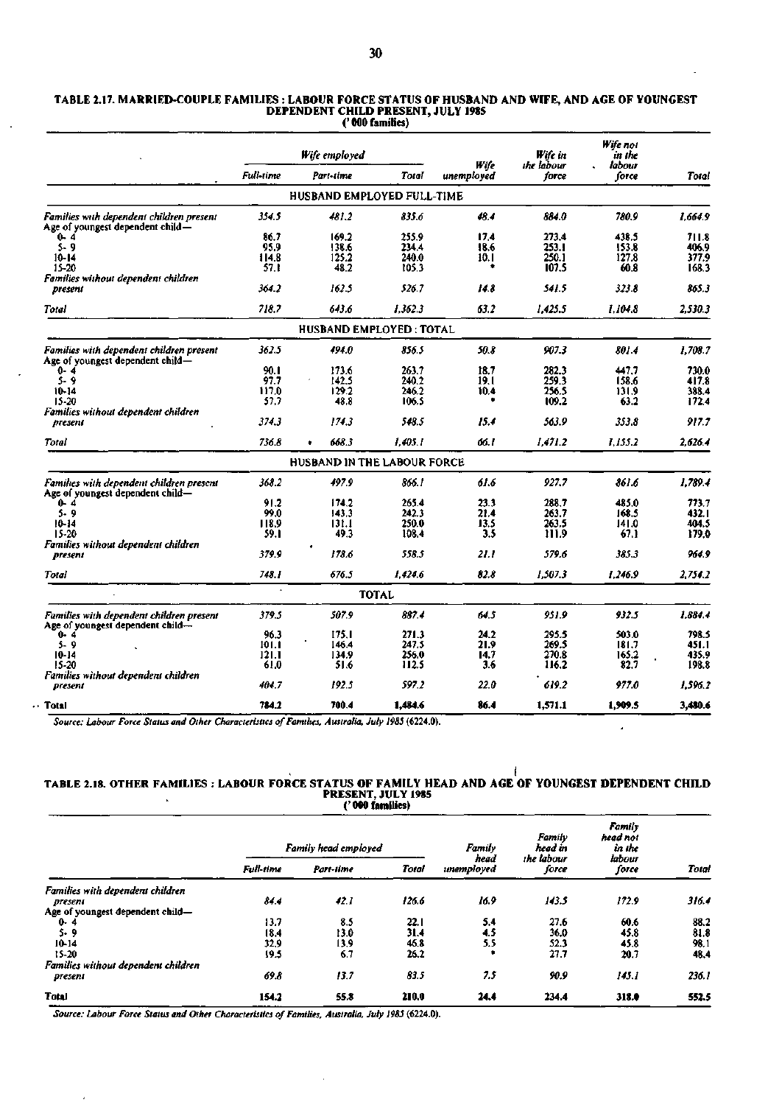|                                                                              | Wife employed |                                    |              |                    | Wife in             | Wife not<br>ın the |         |
|------------------------------------------------------------------------------|---------------|------------------------------------|--------------|--------------------|---------------------|--------------------|---------|
|                                                                              | Full-time     | Part-time                          | Total        | Wife<br>unemployed | the labour<br>force | labour<br>force    | Total   |
|                                                                              |               | HUSBAND EMPLOYED FULL-TIME         |              |                    |                     |                    |         |
| Families with dependent children present<br>Age of youngest dependent child— | 354.5         | 481.2                              | 835.6        | 48.4               | 884.0               | 780.9              | 1.664.9 |
| $0 - 4$                                                                      | 86.7          | 169.2                              | 255.9        | 17.4               | 273.4               | 438.5              | 711.8   |
| $5 - 9$                                                                      | 95.9          | 138.6                              | 234.4        | 18.6               | 253.1               | 153.8              | 406.9   |
| $10 - 14$                                                                    | 114.8         | 125.2                              | 240.0        | 10. I              | 250.1               | 127.8              | 377.9   |
| $15 - 20$                                                                    | 57.1          | 48.2                               | 105.3        | ٠                  | 107.5               | 60.8               | 168.3   |
| Families without dependent children                                          |               |                                    |              |                    |                     |                    |         |
| present                                                                      | 364.2         | 162.5                              | 526.7        | 14.8               | 541.5               | 323.8              | 865.3   |
| Total                                                                        | 718.7         | 643.6                              | 1.362.3      | 63.2               | 1.425.5             | 1.104.8            | 2.530.3 |
|                                                                              |               | <b>HUSBAND EMPLOYED: TOTAL</b>     |              |                    |                     |                    |         |
| Families with dependent children present<br>Age of youngest dependent child- | 362.5         | 494.0                              | 856.5        | 50.8               | 907.3               | 801.4              | 1.708.7 |
| $0 - 4$                                                                      | 90.1          | 173.6                              | 263.7        | 18.7               | 282.3               | 447.7              | 730.0   |
| 5.9                                                                          | 97.7          | 142.5                              | 240.2        | 19.I               | 259.3               | 158.6              | 417.8   |
| 10-14                                                                        | 117.0         | 129.2                              | 246.2        | 10.4               | 256.5               | 131.9              | 388.4   |
| $15 - 20$                                                                    | 57.7          | 48.8                               | 106.5        |                    | 109.2               | 63.2               | 172.4   |
| Families without dependent children                                          |               |                                    |              |                    |                     |                    |         |
| present                                                                      | 374,3         | 174.3                              | 548.5        | 15.4               | 563.9               | 353.8              | 917.7   |
| Total                                                                        | 736.8         | 668.3                              | 1.405.1      | 66.1               | 1.471.2             | 1.155.2            | 2.626.4 |
|                                                                              |               | <b>HUSBAND IN THE LABOUR FORCE</b> |              |                    |                     |                    |         |
| Families with dependent children present<br>Age of youngest dependent child- | 368.2         | 497.9                              | 866.1        | 61.6               | 927.7               | 861.6              | 1,789.4 |
| $0 - 4$                                                                      | 91.2          | 174.2                              | 265.4        | 23.3               | 288.7               | 485.0              | 773.7   |
| $5 - 9$                                                                      | 99.0          | 143.3                              | 242.3        | 21.4               | 263.7               | 168.5              | 432. I  |
| 10-14                                                                        | 118.9         | 131.1                              | 250.0        | 13.5               | 263.5               | 141.0              | 404.5   |
| 15-20                                                                        | 59.1          | 49.3                               | 108.4        | 3.5                | 111.9               | 67.1               | 179.0   |
| Families without dependent children                                          |               |                                    |              |                    |                     |                    |         |
| present                                                                      | 379.9         | 178.6                              | 558.5        | 21.1               | 579.6               | 385.3              | 964.9   |
| Total                                                                        | 748.1         | 676.5                              | 1.424.6      | 82.8               | 1.507.3             | 1.246.9            | 2.754.2 |
|                                                                              | $\bullet$     |                                    | <b>TOTAL</b> |                    |                     |                    |         |
| Families with dependent children present<br>Age of youngest dependent child— | 379.5         | 507.9                              | 887.4        | 64.5               | 951.9               | 932.5              | 1.884.4 |
| $0 - 4$                                                                      | 96.3          | 175.1                              | 271.3        | 24.2               | 295.5               | 503.0              | 798.5   |
| $5 - 9$                                                                      | 101.1         | 146.4                              | 247.5        | 21.9               | 269.5               | 181.7              | 451.1   |
| 10-14                                                                        | 121.1         | 134.9                              | 256.0        | 14.7               | 270.8               | 165.2              | 435.9   |
| 15-20                                                                        | 61.0          | 51.6                               | 112.5        | 3.6                | 116.2               | 82.7               | 198.8   |
| Families without dependent children<br>present                               | 404.7         | 192.5                              | 597.2        | 22.0               | 619.2               | 977.0              | 1.596.2 |
| Total                                                                        | 784.2         | 700.4                              | 1,484.6      | 86.4               | 1,571.1             | 1.909.5            | 3,480.6 |

*Source: Labour Force Status and Other Characteristics of Families, Australia, July 1985* **(6224.0).** 

#### **I TABLE 2.18. OTHER FAMILIES : LABOUR FORCE STATUS OF FAMILY HEAD AND AGE OF YOUNGEST DEPENDENT CHILD PRESENT, JULY 1985 (' 000 families)**

ä,

*<sup>i</sup>Family head employed Family head Family head in the labour Family head not in the labour Full-time Part-time Total unemployed force force Total Families with dependent children present 84.4 42.1 126.6 16.9 143.5 172.9 316.4*  Age of youngest dependent child-<br>0-4<br>5-9 0- 4 13.7 8.5 22.1 5.4 27.6 60.6 88.2 5- 9 18.4 13.0 31.4 4.5 36.0 45.8 81.8 10-14 32.9 13.9 46.8 5.5 52.3 45.8 98.1 15-20 19.5 6.7 26.2 **•** 27.7 20.7 48.4 *Families without dependent children present 69.8 13.7 83.5 7.5 90.9 145.1 236.1*  **Total 154.2 55.8 210.0 24.4 234.4 318.0 552.5** 

*Source: Labour Force Status and Other Characteristics of Families, Australia, July 1985* **(6224.0).** 

J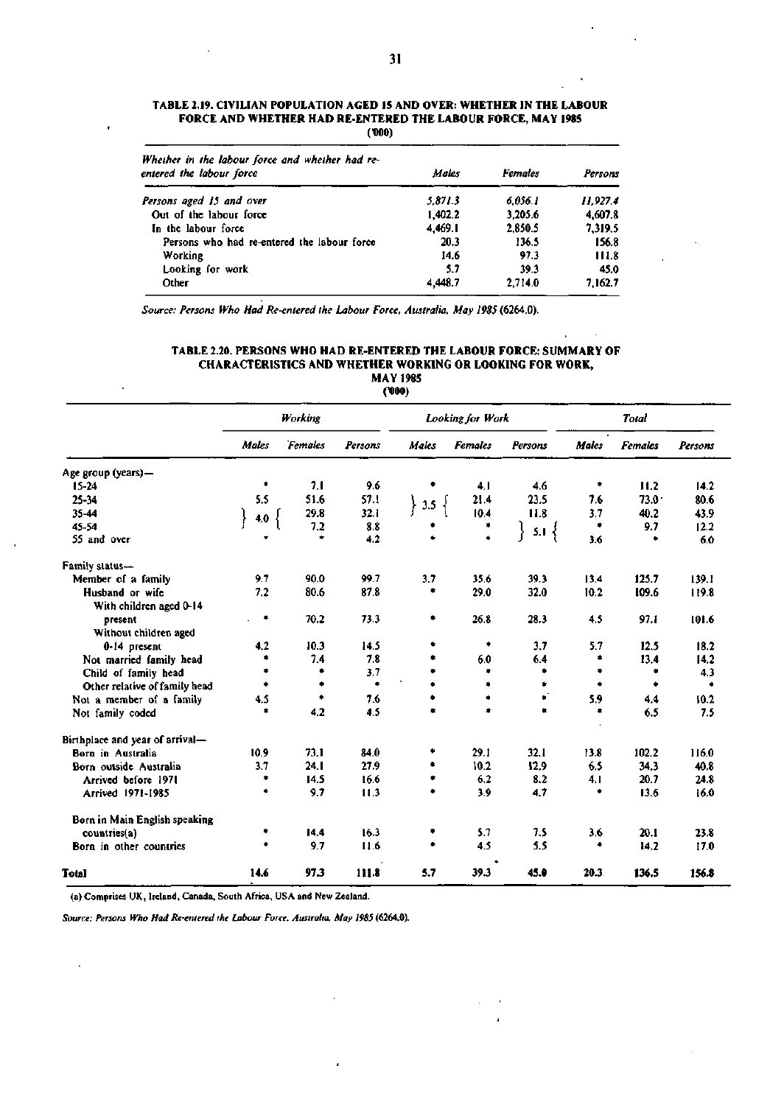| Whether in the labour force and whether had re-<br>entered the labour force | Males   | Females | Persons  |
|-----------------------------------------------------------------------------|---------|---------|----------|
| Persons aged 15 and over                                                    | 5.871.3 | 6.056.1 | 11.927.4 |
| Out of the labour force                                                     | 1.402.2 | 3,205.6 | 4,607.8  |
| In the labour force                                                         | 4.469.1 | 2,850.5 | 7.319.5  |
| Persons who had re-entered the labour force                                 | 20.3    | 136.5   | 156.8    |
| Working                                                                     | 14.6    | 97.3    | 111.8    |
| Looking for work                                                            | 5.7     | 39.3    | 45.0     |
| Other                                                                       | 4,448.7 | 2.714.0 | 7.162.7  |

**TABLE 2.19. CIVILIAN POPULATION AGED 15 AND OVER: WHETHER IN THE LABOUR FORCE AND WHETHER HAD RE-ENTERED THE LABOUR FORCE, MAY 1985**  (•000)

*Source: Persons Who Had Re-entered the Labour Force, Australia, May 1985* **(6264.0).** 

| TABLE 2.20. PERSONS WHO HAD RE-ENTERED THE LABOUR FORCE: SUMMARY OF |  |  |  |  |  |  |  |  |  |
|---------------------------------------------------------------------|--|--|--|--|--|--|--|--|--|
| <b>CHARACTERISTICS AND WHETHER WORKING OR LOOKING FOR WORK.</b>     |  |  |  |  |  |  |  |  |  |
| <b>MAY 1985</b>                                                     |  |  |  |  |  |  |  |  |  |
| $\overline{1}$                                                      |  |  |  |  |  |  |  |  |  |

**C000)** 

|                                 |           | Working |                      | Looking for Work |                |              | Total |                |         |
|---------------------------------|-----------|---------|----------------------|------------------|----------------|--------------|-------|----------------|---------|
|                                 | Males     | Females | Persons              | Males            | <b>Females</b> | Persons      | Males | <b>Females</b> | Persons |
| Age group (years)-              |           |         |                      |                  |                |              |       |                |         |
| $15 - 24$                       | ٠         | 7.1     | 9.6                  | ۰                | 4.1            | 4.6          | ٠     | 11.2           | 14.2    |
| 25-34                           | 5.5       | 51.6    | 57.1                 | 3.5              | 21.4           | 23.5         | 7.6   | $73.0 -$       | 80.6    |
| 35-44                           | 4.0       | 29.8    | 32.1                 |                  | 10.4           | 11.8         | 3.7   | 40.2           | 43.9    |
| 45-54                           |           | 7.2     | 8.8                  |                  | ۰              | $5.1\}$<br>ł | ۰     | 9.7            | 12.2    |
| 55 and over                     |           | ٠       | 4.2                  |                  | ٠              |              | 3.6   | ۰              | 6.0     |
| Family status-                  |           |         |                      |                  |                |              |       |                |         |
| Member of a family              | 9.7       | 90.0    | 99.7                 | 3.7              | 35.6           | 39.3         | 13,4  | 125.7          | 139.1   |
| Husband or wife                 | 7.2       | 80.6    | 87.8                 | ۰                | 29.0           | 32.0         | 10.2  | 109.6          | 119.8   |
| With children aged 0-14         |           |         |                      |                  |                |              |       |                |         |
| present                         | ۰         | 70.2    | 73.3                 | ٠                | 26.8           | 28.3         | 4.5   | 97.1           | 101.6   |
| Without children aged           |           |         |                      |                  |                |              |       |                |         |
| 0-14 present                    | 4.2       | 10.3    | 14.5                 | ۰                | ۰              | 3.7          | 5.7   | 12.5           | 18.2    |
| Not married family head         |           | 7.4     | 7.8                  | ۰                | 6.0            | 6.4          | ۰     | 13.4           | 14.2    |
| Child of family head            |           | ۰       | 3.7                  | ۰                | ٠              | ٠            | ۰     | ٠              | 4.3     |
| Other relative of family head   | $\bullet$ | ۰       | $\ddot{\phantom{1}}$ | ٠                | ۰              | ٠            | ٠     | ۰              | ٠       |
| Not a member of a family        | 4.5       | ٠       | 7.6                  | ۰                | ٠              | $\bullet$    | 5.9   | 4.4            | 10.2    |
| Not family coded                | ۰         | 4.2     | 4.5                  | ۰                | ٠              | ٠            | ۰     | 6.5            | 7.5     |
| Birthplace and year of arrival- |           |         |                      |                  |                |              |       |                |         |
| Born in Australia               | 10.9      | 73.1    | 84.0                 | ۰                | 29.1           | 32.1         | 13.8  | 102.2          | 116.0   |
| Born outside Australia          | 3.7       | 24. I   | 27.9                 | ۰                | 10.2           | 12.9         | 6.5   | 34.3           | 40.8    |
| Arrived before 1971             | ٠         | 14.5    | 16.6                 | ۰                | 6.2            | 8.2          | 4.1   | 20.7           | 24.8    |
| Arrived 1971-1985               | ۰         | 9.7     | 11.3                 | ٠                | 3.9            | 4.7          | ٠     | 13.6           | 16.0    |
| Born in Main English speaking   |           |         |                      |                  |                |              |       |                |         |
| countries(a)                    | ٠         | 14.4    | 16.3                 | ٠                | 5.7            | 7.5          | 3.6   | 20.1           | 23.8    |
| Born in other countries         | ۰         | 9.7     | 11.6                 | ۰                | 4.5            | 5.5          | ٠     | 14.2           | 17.0    |
| Total                           | 14.6      | 97.3    | 111.8                | 5.7              | 39.3           | 45.0         | 20.3  | 136.5          | 156.8   |

(a) Comprises UK, Ireland, Canada, South Africa, USA and New Zealand.

 $\ddot{\phantom{0}}$ 

*Source: Persons Who Had Re-entered the Labour Force, Australia, May 19SS* **(6264.0).**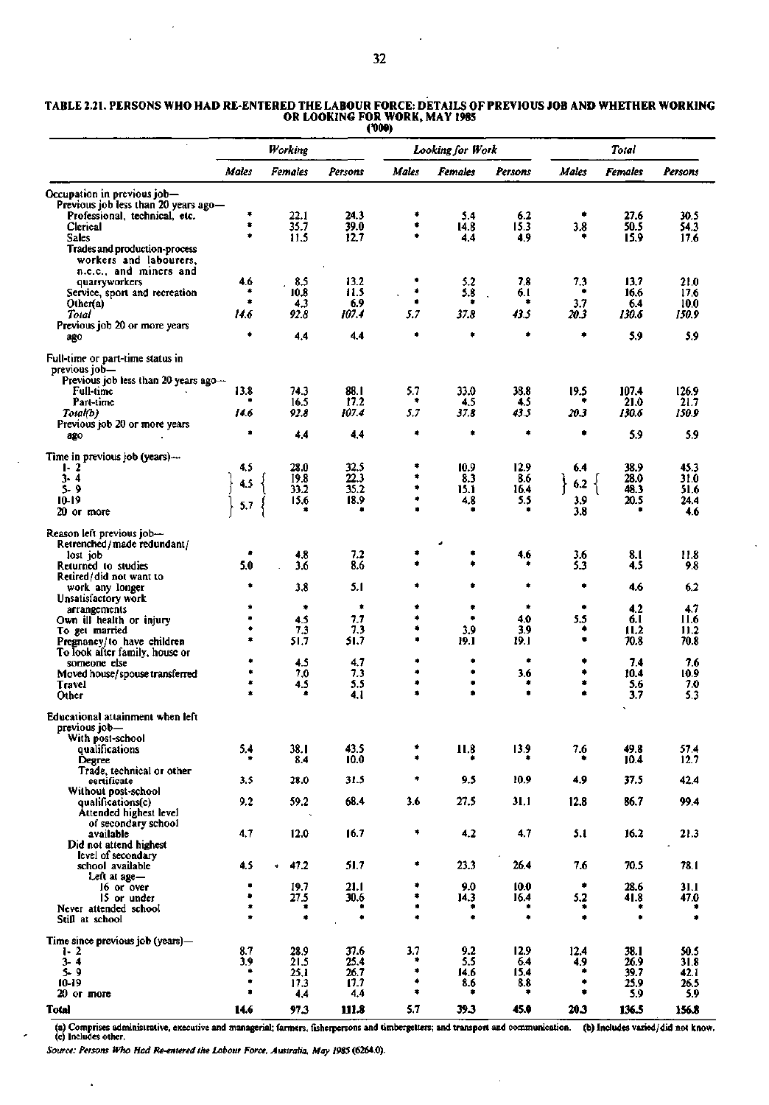$\cdot$ 

 $\overline{a}$ 

 $\epsilon$ 

 $\sim$   $\lambda$ 

÷.

|                                                                     |        | Working      |               |          | Looking for Work |             |             | Total          |               |  |
|---------------------------------------------------------------------|--------|--------------|---------------|----------|------------------|-------------|-------------|----------------|---------------|--|
|                                                                     | Males  | Females      | Persons       | Males    | Females          | Persons     | Males       | <b>Females</b> | Persons       |  |
| Occupation in previous job-<br>Previous job less than 20 years ago- |        |              |               |          |                  |             |             |                |               |  |
| Professional, technical, etc.                                       | ۰      | 22.1         | 24.3          | ٠        | 5.4              | 6.2         |             | 27.6           | 30.5          |  |
| Clerical                                                            | ۰      | 35.7         | 39.0          | ٠        | 14.8             | 15.3        | 3.8         | 50.5           | 54.3          |  |
| <b>Sales</b>                                                        | ۰      | 11.5         | 12,7          | ۰        | 44               | 4.9         |             | 15.9           | 17.6          |  |
| Trades and production-process<br>workers and labourers,             |        |              |               |          |                  |             |             |                |               |  |
| n.e.c., and miners and                                              |        |              |               |          |                  |             |             |                |               |  |
| quarryworkers                                                       | 4.6    | 8.5          | 13.2          | ٠        | 5.2              | 7.8         | 7,3         | 13.7           | 21.0          |  |
| Service, sport and recreation                                       | ۰      | 10.8         | 11.5          | ۰<br>۰   | 5.8              | 6.I<br>٠    | ٠           | 16.6           | 17.6          |  |
| Other(a)<br>Total                                                   | 14.6   | 4.3<br>92.8  | 6.9<br>107.4  | 5.7      | ۰<br>37.8        | 43.5        | 3.7<br>20.3 | 6.4<br>130.6   | 10.0<br>150.9 |  |
| Previous job 20 or more years                                       |        |              |               |          |                  |             |             |                |               |  |
| ago                                                                 | ۰      | 4.4          | 4.4           | ۰        | ۰                | ۰           | ۰           | 5.9            | 5.9           |  |
| Full-time or part-time status in<br>previous job-                   |        |              |               |          |                  |             |             |                |               |  |
| Previous job less than 20 years ago $-$                             |        |              |               |          |                  |             |             |                |               |  |
| <b>Full-time</b>                                                    | 13.8   | 74.3         | 88.I          | 5.7      | 33.0             | 38.8        | 19.5        | 107.4          | 126.9         |  |
| Part-time                                                           |        | 16.5         | 17.2<br>107.4 | ٠<br>5.7 | 4.5              | 4.5         |             | 21.0           | 21.7          |  |
| Total(b)<br>Previous job 20 or more years                           | 14.6   | 92.8         |               |          | 37.8             | 43.5        | 20.3        | 130.6          | 150.9         |  |
| ago                                                                 | ۰      | 4.4          | 4.4           | ٠        | ۰                | ۰           | ۰           | 5.9            | 5.9           |  |
| Time in previous job (years)-                                       |        |              |               |          |                  |             |             |                |               |  |
| $1 - 2$                                                             | 4,5    | 28.0         | 32.5          | ۰<br>٠   | 10.9             | 12.9        | 6.4         | 38.9           | 45.3          |  |
| $3 - 4$<br>s- 9                                                     | 4.5    | 19.8<br>33.2 | 22.3<br>35.2  | ۰        | 8.3<br>15.1      | 8.6<br>16.4 | 6.2         | 28.0<br>48.3   | 31.0<br>51.6  |  |
| 10-19                                                               |        | 15.6         | 18.9          | ۰        | 4.8              | 5.5         | 3.9         | 20.5           | 24.4          |  |
| 20 or more                                                          | 5.7    |              | ٠             |          |                  | ۰           | 3.8         |                | 4.6           |  |
| Reason left previous job-<br>Retrenched/made redundant/             |        |              |               |          |                  |             |             |                |               |  |
| lost job                                                            |        | 4,8          | 7.2           |          |                  | 4.6         | 3.6         | 8.I            | 11.8          |  |
| Returned to studies<br>Retired/did not want to                      | 5.0    | 3.6          | 8.6           |          |                  |             | 5.3         | 4.5            | 9.8           |  |
| work any longer                                                     | ۰      | 3,8          | 5.1           |          |                  | ۰           |             | 4.6            | 6.2           |  |
| Unsatisfactory work<br>arrangements                                 | ۰      | ٠            | ۰             | ۰        | ٠                | ۰           | ۰           | 4.2            | 4.7           |  |
| Own ill health or injury                                            | ٠      | 4.5          | 7.7           | ۰        |                  | 4.0         | 5.5         | 6.I            | 11.6          |  |
| To get married                                                      | ۰      | 7.3          | 7.3           | ٠        | 3.9              | 3.9         | ٠           | 11.2           | 11.2          |  |
| Pregnancy/to have children                                          | ۰      | 51.7         | 51.7          | ۰        | 19.1             | 19.1        | ٠           | 70.8           | 70.8          |  |
| To look after family, house or<br>someone else                      | ۰      | 4.5          | 4.7           | ۰        | ۰                | ۰           | ٠           | 7.4            | 7.6           |  |
| Moved house/spouse transferred                                      | ۰      | 7.0          | 7.3           | ۰        | ۰                | 3.6         | ۰           | 10.4           | 10.9          |  |
| Travel                                                              | ٠      | 4.5          | 5.5           | ۰        | ٠                | ۰           | ۰           | 5.6            | 7.0           |  |
| Other                                                               |        |              | 4.1           | ۰        | ۰                | ٠           | ¢           | 3.7            | 5.3           |  |
| Educational attainment when left<br>previous job—                   |        |              |               |          |                  |             |             |                |               |  |
| With post-school<br>qualifications                                  | 5.4    | 38.1         | 43.5          | ۰        | 11.8             | 13.9        | 7.6         | 49.8           | 57.4          |  |
| Degree                                                              | ٠      | 8.4          | 10.0          | ۰        |                  | ۰           | ٠           | 10.4           | 12.7          |  |
| Trade, technical or other<br>certificate                            | 3.5    | 28.0         | 31.5          | ٠        | 9.5              | 10,9        | 4.9         | 37.5           | 42,4          |  |
| Without post-school                                                 |        |              |               |          |                  |             |             |                |               |  |
| qualifications(c)<br>Attended highest level                         | 9.2    | 59.2         | 68.4          | 3.6      | 27.5             | 31,1        | 12.8        | 86.7           | 99.4          |  |
| of secondary school                                                 |        |              |               |          |                  |             |             |                |               |  |
| available                                                           | 4.7    | 12.0         | 16.7          | ۰        | 4.2              | 4.7         | 5.1         | 16.2           | 21.3          |  |
| Did not attend highest<br>level of secondary                        |        |              |               |          |                  |             |             |                |               |  |
| school available                                                    | 4.5    | 47.2         | 51.7          | ۰        | 23.3             | 26.4        | 7.6         | 70.5           | 78.I          |  |
| Left at age-                                                        |        |              |               |          |                  |             |             |                |               |  |
| 16 or over                                                          | ٠<br>٠ | 19.7         | 21.1          | ٠<br>٠   | 9.0              | 10.0        | ۰           | 28.6           | 31.1          |  |
| 15 or under<br>Never attended school                                | ۰      | 27.5<br>۰    | 30.6          | ٠        | 14.3             | 16.4        | 5.2<br>۰    | 41.8           | 47.0          |  |
| Still at school                                                     | ٠      | $\bullet$    | ٠             | ٠        | ٠                | ٠           | ۰           | ٠              | ۰             |  |
| Time since previous job (years)-                                    |        |              |               |          |                  |             |             |                |               |  |
| $1 - 2$                                                             | 8.7    | 28.9         | 37.6          | 3.7      | 9.2              | 12.9        | 12.4        | 38.1           | 50.5          |  |
| $3 - 4$                                                             | 3.9    | 21.5         | 25.4          | ٠<br>۰   | 5.5              | 6.4         | 4.9<br>٠    | 26.9           | 31.8          |  |
| $5 - 9$<br>$10-19$                                                  | ٠      | 25.1<br>17.3 | 26.7<br>17.7  | ۰        | 14.6<br>8.6      | 15,4<br>8.8 | ۰           | 39.7<br>25.9   | 42. I<br>26.5 |  |
| $20$ or more                                                        | ۰      | 4.4          | 4,4           | ٠        | *                | ۰           | ٠           | 5.9            | 5.9           |  |
| Total                                                               | 14.6   | 97.3         | 111.8         | 5.7      | 39.3             | 45.0        | 20.3        | 136.5          | 156.8         |  |

TABLE 2.21. PERSONS **WHO HAD RE-ENTERED THE LABOUR FORCE: DETAILS OF PREVIOUS JOB AND WHETHER WORKING OR LOOKING FOR WORK, MAY 1985 (D00)** 

(a) Comprises administrative, executive and managerial; farmers, fisherpersons and timbergetters; and transport and communication, (c) Includes other. (b) Includes varied/did not know.

 $\mathcal{L}$ 

*Source: Persons Who Had Re-entered the Labour Force, Australia, May 1985* **(6264.0).** 

J.

 $\ddot{\phantom{1}}$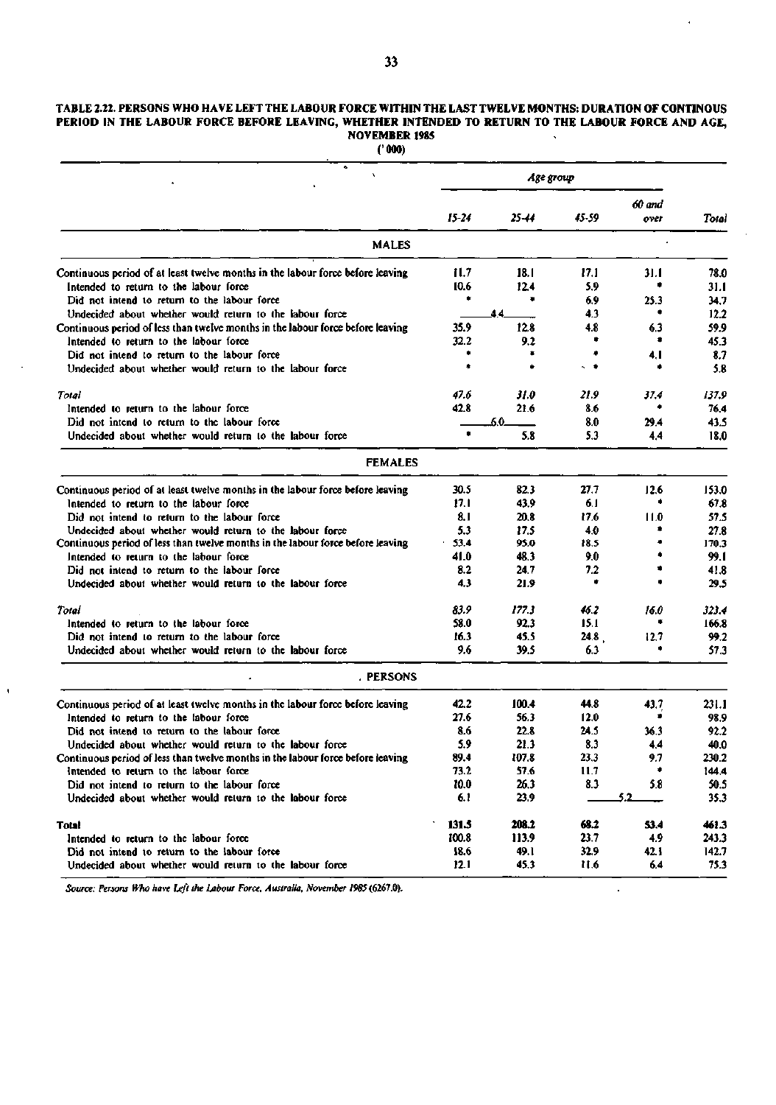### **TABLE 2.22. PERSONS WHO HAVE LEFT THE LABOUR FORCE WITHIN THE LAST TWELVE MONTHS: DURATION OF CONTINOUS PERIOD IN THE LABOUR FORCE BEFORE LEAVING, WHETHER INTENDED TO RETURN TO THE LABOUR FORCE AND AGE, NOVEMBER 1985**

**('000)** 

| ۰                                                                               | Age group |       |          |                |       |
|---------------------------------------------------------------------------------|-----------|-------|----------|----------------|-------|
|                                                                                 | $15 - 24$ | 25-44 | 45-59    | 60 and<br>over | Total |
| <b>MALES</b>                                                                    |           |       |          |                |       |
| Continuous period of at least twelve months in the labour force before leaving  | 11.7      | 18.1  | 17.1     | 31.I           | 78.0  |
| Intended to return to the labour force                                          | 10.6      | 12.4  | 5.9      |                | 31.I  |
| Did not intend to return to the labour force                                    | ۰         | ٠     | 6.9      | 25.3           | 34.7  |
| Undecided about whether would return to the labour force                        |           | 44    | 4.3      |                | 12.2  |
| Continuous period of less than twelve months in the labour force before leaving | 35.9      | 12.8  | 4.8      | 6.3            | 59.9  |
| Intended to return to the labour force                                          | 32.2      | 9.2   |          |                | 45.3  |
| Did not intend to return to the labour force                                    |           | ۰     | ۰        | 4, I           | 8.7   |
| Undecided about whether would return to the labour force                        | 4         |       | $\sim$ . |                | 5.8   |
| Total                                                                           | 47.6      | 31.0  | 21.9     | 37.4           | 137.9 |
| Intended to return to the labour force                                          | 42.8      | 21.6  | 8.6      | ٠              | 76.4  |
| Did not intend to return to the labour force                                    |           | 6.0.  | 8.0      | 29.4           | 43.5  |
| Undecided about whether would return to the labour force                        | û.        | 5.8   | 5.3      | 4.4            | 18.0  |
| <b>FEMALES</b>                                                                  |           |       |          |                |       |
| Continuous period of at least twelve months in the labour force before leaving  | 30.5      | 82.3  | 27.7     | 12.6           | 153.0 |
| Intended to return to the labour force                                          | 17.1      | 43.9  | 6.1      |                | 67.8  |
| Did not intend to return to the labour force                                    | 8. I      | 20.8  | 17.6     | 11.0           | 57.5  |
| Undecided about whether would return to the labour force                        | 5.3       | 17.5  | 4.0      |                | 27.8  |
| Continuous period of less than twelve months in the labour force before leaving | 53.4      | 95.0  | 18.5     |                | 170.3 |
| Intended to return to the labour force                                          | 41.0      | 48.3  | 9.0      |                | 99.I  |
| Did not intend to return to the labour force                                    | 8.2       | 24.7  | 7.2      |                | 41.8  |
| Undecided about whether would return to the labour force                        | 4.3       | 21.9  | ٠        |                | 29.5  |
| Total                                                                           | 83.9      | 177.3 | 46.2     | 16.0           | 323.4 |
| Intended to return to the labour force                                          | 58.0      | 92.3  | 15.1     |                | 166.8 |
| Did not intend to return to the labour force                                    | 16.3      | 45.5  | 24.8     | 12.7           | 99.2  |
| Undecided about whether would return to the labour force                        | 9.6       | 39.5  | 6.3      |                | 57.3  |
| . PERSONS                                                                       |           |       |          |                |       |
| Continuous period of at least twelve months in the labour force before leaving  | 42.2      | 100.4 | 44.8     | 43.7           | 231.1 |
| Intended to return to the labour force                                          | 27.6      | 56.3  | 12.0     |                | 98.9  |
| Did not intend to return to the labour force                                    | 8.6       | 22.8  | 24.5     | 36.3           | 92.2  |
| Undecided about whether would return to the labour force                        | 5.9       | 21.3  | 8.3      | 4,4            | 40.0  |
| Continuous period of less than twelve months in the labour force before leaving | 89.4      | 107.8 | 23.3     | 9.7            | 230.2 |
| Intended to return to the labour force                                          | 73.2      | 57.6  | 11.7     | ۰              | 144.4 |
| Did not intend to return to the labour force                                    | 10.0      | 26,3  | 8.3      | 5.8            | 50.5  |
| Undecided about whether would return to the labour force                        | 6.1       | 23.9  |          | 5.2            | 35.3  |
| Total                                                                           | 131.5     | 208.2 | 68.2     | 53.4           | 461.3 |
| Intended to return to the labour force                                          | 100.8     | 113.9 | 23.7     | 4.9            | 243.3 |
| Did not intend to return to the labour force                                    | 18.6      | 49.1  | 32.9     | 42.1           | 142.7 |
| Undecided about whether would return to the labour force                        | 12.1      | 45.3  | 11.6     | 6.4            | 75.3  |

*Source: Persons Who have Left the Labour Force, Australia, November 1985* (6267.0).

 $\bar{1}$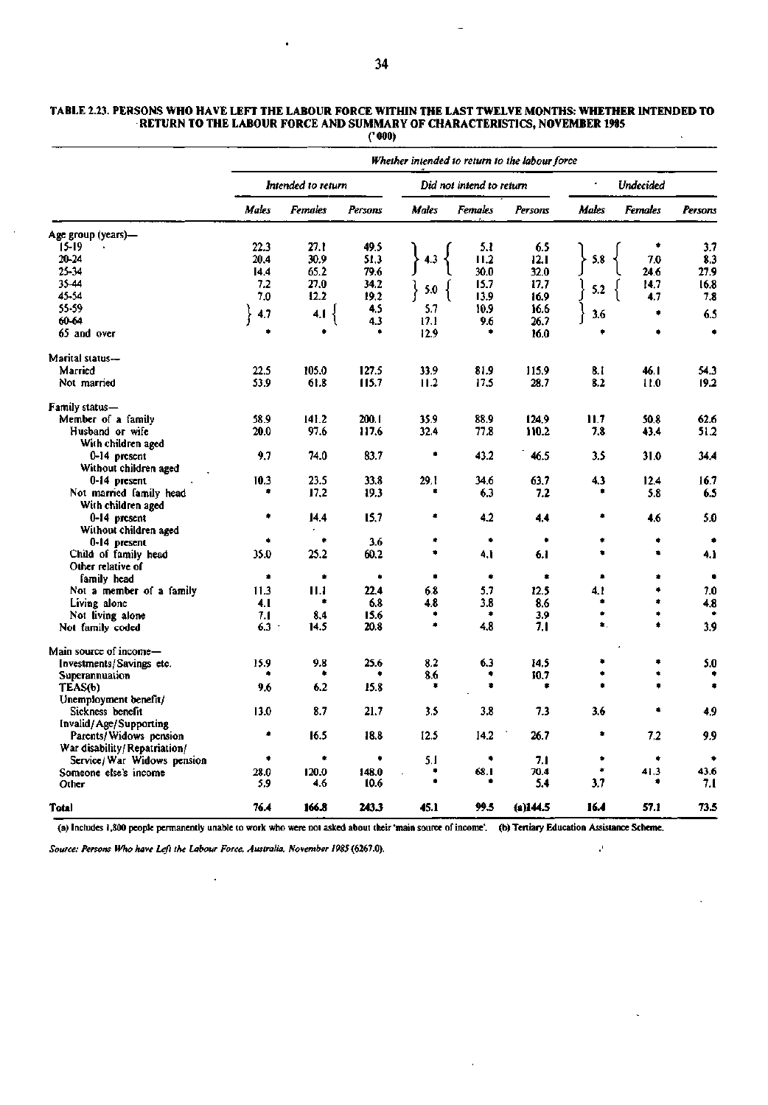|                                  | Whether intended to return to the labour force |                |              |                          |          |          |                  |                |           |  |  |  |
|----------------------------------|------------------------------------------------|----------------|--------------|--------------------------|----------|----------|------------------|----------------|-----------|--|--|--|
|                                  | Intended to return                             |                |              | Did not intend to return |          |          | <b>Undecided</b> |                |           |  |  |  |
|                                  | Males                                          | <b>Females</b> | Persons      | Males                    | Females  | Persons  | <b>Males</b>     | <b>Females</b> | Persons   |  |  |  |
| Age group (years)—               |                                                |                |              |                          |          |          |                  |                |           |  |  |  |
| 15-19                            | 22.3                                           | 27.1           | 49.5         |                          | 5.1      | 6.5      |                  | ٠              | 3.7       |  |  |  |
| 20-24                            | 20.4                                           | 30.9           | 51.3         | 4.3                      | II.2     | 12.1     | 5.8              | 7.0            | 8.3       |  |  |  |
| 25-34                            | 14.4                                           | 65.2           | 79.6         |                          | 30.0     | 32.0     |                  | 24.6           | 27.9      |  |  |  |
| 35-44                            | 7.2                                            | 27.0           | 34.2         |                          | 15.7     | 17.7     |                  | 14.7           | 16.8      |  |  |  |
| 45-54                            | 7.0                                            | 12.2           | 19,2         | 5.0                      | 13.9     | 16.9     | 5.2              | 4.7            | 7.8       |  |  |  |
| 55-59                            |                                                |                | 4.5          | 5.7                      | 10.9     | 16.6     |                  |                |           |  |  |  |
| 60-64                            | 4.7                                            | 4.1            | 4.3          | 17.1                     | 9.6      | 26.7     | 3.6              | ۰              | 6.5       |  |  |  |
| 65 and over                      |                                                |                |              | 12.9                     |          | 16.0     |                  |                | $\bullet$ |  |  |  |
| Marital status-                  |                                                |                |              |                          |          |          |                  |                |           |  |  |  |
| Married                          | 22.5                                           | 105.0          | 127.5        | 33.9                     | 81.9     | 115.9    | 8.1              | 46. I          | 54.3      |  |  |  |
| Not married                      | 53.9                                           | 61.8           | 115.7        | 11.2                     | 17.5     | 28.7     | 8.2              | 11.0           | 19.2      |  |  |  |
| Family status—                   |                                                |                |              |                          |          |          |                  |                |           |  |  |  |
| Member of a family               | 58.9                                           | 141.2          | 200.1        | 35.9                     | 88.9     | 124.9    | 11.7             | 50.8           | 62.6      |  |  |  |
| Husband or wife                  | 20.0                                           | 97.6           | 117.6        | 32.4                     | 77.8     | 110.2    | 7.8              | 43.4           | 51.2      |  |  |  |
| With children aged               |                                                |                |              |                          |          |          |                  |                |           |  |  |  |
| 0-14 present                     | 9.7                                            | 74.0           | 83.7         | ۰                        | 43.2     | 46.5     | 3.5              | 31.0           | 34.4      |  |  |  |
| Without children aged            |                                                |                |              |                          |          |          |                  |                |           |  |  |  |
| 0-14 present                     | 10.3                                           | 23.5           | 33.8         | 29.1                     | 34.6     | 63.7     | 4.3              | 12.4           | 16.7      |  |  |  |
| Not married family head          | ۰                                              | 17.2           | 19.3         | ۰                        | 6.3      | 7.2      |                  | 5.8            | 6.5       |  |  |  |
| With children aged               |                                                |                |              |                          |          |          |                  |                |           |  |  |  |
| 0-14 present                     | ٠                                              | 14.4           | 15.7         | ۰                        | 4.2      | 44       | ٠                | 4.6            | 5.0       |  |  |  |
| Without children aged            |                                                |                |              |                          |          |          |                  |                |           |  |  |  |
| 0-14 present                     | ٠                                              | ۰              | 3.6          | ۰                        | ٠        | ٠        | ۰                | ۰              | ۰         |  |  |  |
| Child of family head             | 35.0                                           | 25.2           | 60.2         | ٠                        | 4. I     | 6.1      | ۰                | ۰              | 4.1       |  |  |  |
|                                  |                                                |                |              |                          |          |          |                  |                |           |  |  |  |
| Other relative of<br>family head | ۰                                              | ۰              | ٠            | ۰                        | ٠        | ۰        | ۰                | ۰              | ٠         |  |  |  |
|                                  | 11.3                                           | 11.1           | 22.4         | 6.8                      | 5.7      | 12.5     | 4.1              | ۰              | 7.0       |  |  |  |
| Not a member of a family         |                                                | ۰              |              |                          |          |          | ۰                | ۰              |           |  |  |  |
| Living alone                     | 4.1                                            |                | 6.8          | 4.8<br>۰                 | 3.8<br>۰ | 8.6      | ۰                |                | 4.8       |  |  |  |
| Not living alone                 | 7.1                                            | 8.4            | 15.6<br>20.8 | ۰                        | 4.8      | 3.9      | ٠.               |                | 3.9       |  |  |  |
| Not family coded                 | $6.3 -$                                        | 14.5           |              |                          |          | 7.1      |                  |                |           |  |  |  |
| Main source of income—           |                                                |                |              |                          |          |          |                  |                |           |  |  |  |
| Investments/Savings etc.         | 15.9                                           | 9.8            | 25.6         | 8.2                      | 6.3      | 14.5     | ٠                | ۰              | 5.0       |  |  |  |
| Superannuation                   |                                                |                |              | 8.6                      | ٠        | 10.7     |                  | ۰              |           |  |  |  |
| TEAS(b)                          | 9.6                                            | 6.2            | 15.8         | ۰                        | ۰        | *        |                  |                | ۰         |  |  |  |
| Unemployment benefit/            |                                                |                |              |                          |          |          |                  |                |           |  |  |  |
| Sickness benefit                 | 13.0                                           | 8.7            | 21.7         | 3.5                      | 3.8      | 7.3      | 3.6              |                | 4.9       |  |  |  |
| Invalid/Age/Supporting           |                                                |                |              |                          |          |          |                  |                |           |  |  |  |
| Parents/Widows pension           |                                                | 16.5           | 18.8         | 12.5                     | 14.2     | 26.7     | ۰                | 7.2            | 9.9       |  |  |  |
| War disability/Repatriation/     |                                                |                |              |                          |          |          |                  |                |           |  |  |  |
| Service/ War Widows pension      | ۰                                              | ۰              | ۰            | 5.1                      | ٠        | 7.1      | ۰                | ۰              | ٠         |  |  |  |
| Someone else's income            | 28.0                                           | 120.0          | 148.0        | ۰                        | 68.I     | 70.4     | ۰                | 41.3           | 43.6      |  |  |  |
| Other                            | 5,9                                            | 4.6            | 10.6         |                          |          | 5.4      | 3.7              |                | 7.1       |  |  |  |
| Total                            | 76.4                                           | 166.8          | 243.3        | 45.1                     | 99.5     | (2)144.5 | 16.4             | 57.1           | 73.5      |  |  |  |

## **TABLE 2.23. PERSONS WHO HAVE LEFT THE LABOUR FORCE WITHIN THE LAST TWELVE MONTHS: WHETHER INTENDED TO RETURN TO THE LABOUR FORCE AND SUMMARY OF CHARACTERISTICS, NOVEMBER 1985**

**('000)** 

(a) Includes 1,800 people permanently unable to work who were not asked about their 'main source of income', (b) Tertiary Education Assistance Scheme.

*Source: Persons Who have Left the Labour Force, Australia, November 19S5* **(6267.0). '** 

 $\hat{\mathbf{r}}$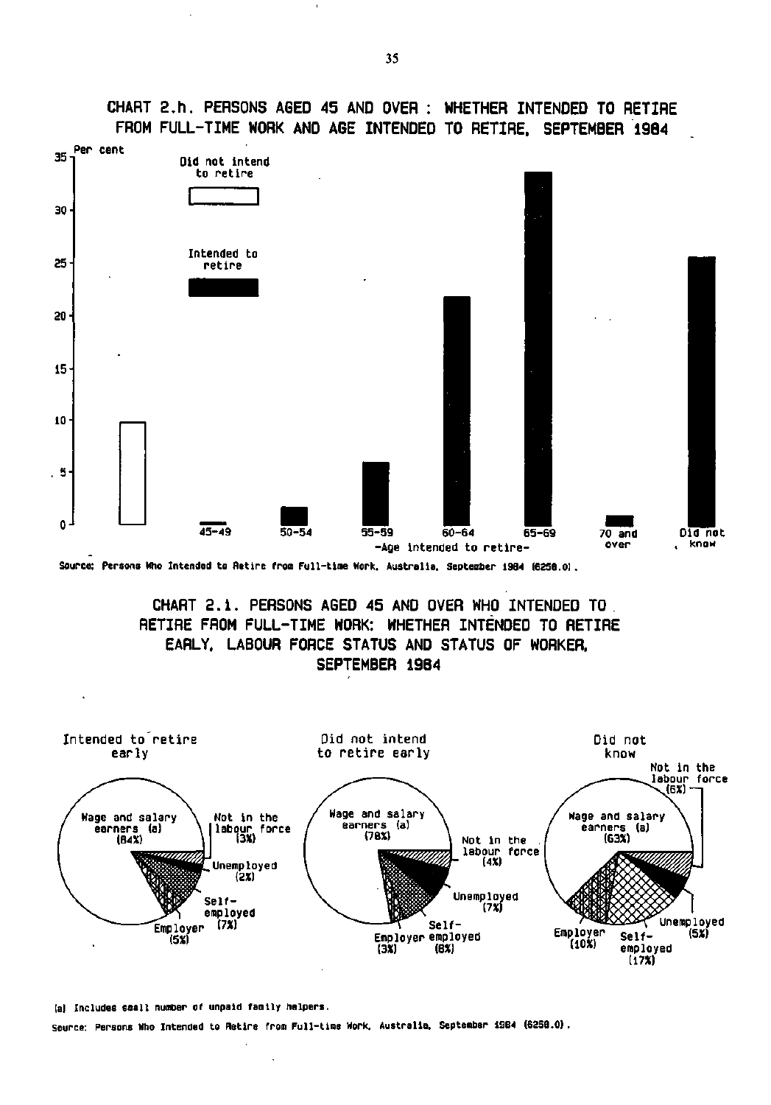**CHART 2.h. PERSONS AGED 45 AND OVER : WHETHER INTENDED TO RETIRE FROM FULL-TIME WORK AND AGE INTENDED TO RETIRE, SEPTEMBER 1984** 



**Source: Persons Who Intended to Retire from Full-time Work. Australia. September 1984 (6358.0).** 

**CHART 2.i . PERSONS AGED 45 AND OVER WHO INTENDED TO. RETIRE FROM FULL-TIME WORK: WHETHER INTENDED TO RETIRE EARLY, LABOUR FORCE STATUS AND STATUS OF WORKER. SEPTEMBER 19B4** 



**<sup>(</sup>a) Includes small number of unpaid family helpers. Source: Persons Who Intended to Retire from Full-time Work. Australia. September 1984 (6258.0)**